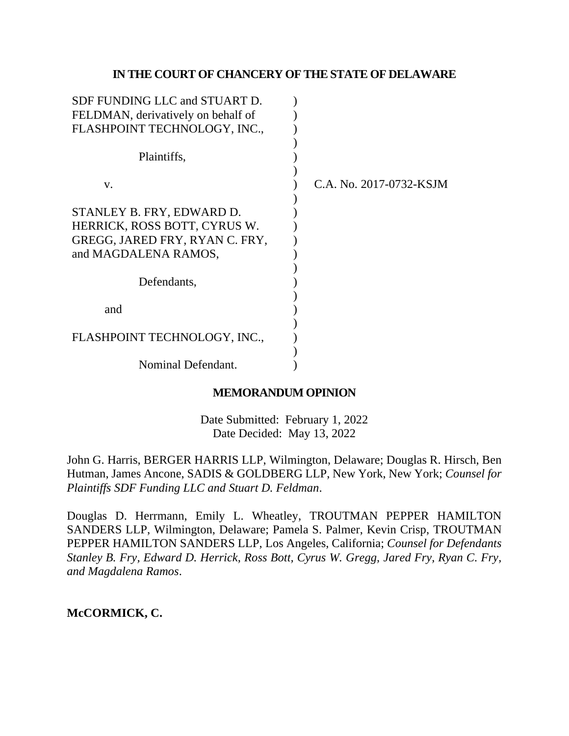## **IN THE COURT OF CHANCERY OF THE STATE OF DELAWARE**

| SDF FUNDING LLC and STUART D.      |                         |
|------------------------------------|-------------------------|
| FELDMAN, derivatively on behalf of |                         |
| FLASHPOINT TECHNOLOGY, INC.,       |                         |
|                                    |                         |
| Plaintiffs,                        |                         |
|                                    |                         |
| V.                                 | C.A. No. 2017-0732-KSJM |
|                                    |                         |
| STANLEY B. FRY, EDWARD D.          |                         |
| HERRICK, ROSS BOTT, CYRUS W.       |                         |
| GREGG, JARED FRY, RYAN C. FRY,     |                         |
| and MAGDALENA RAMOS,               |                         |
|                                    |                         |
| Defendants,                        |                         |
|                                    |                         |
| and                                |                         |
|                                    |                         |
| FLASHPOINT TECHNOLOGY, INC.,       |                         |
|                                    |                         |
| Nominal Defendant.                 |                         |

## **MEMORANDUM OPINION**

Date Submitted: February 1, 2022 Date Decided: May 13, 2022

John G. Harris, BERGER HARRIS LLP, Wilmington, Delaware; Douglas R. Hirsch, Ben Hutman, James Ancone, SADIS & GOLDBERG LLP, New York, New York; *Counsel for Plaintiffs SDF Funding LLC and Stuart D. Feldman*.

Douglas D. Herrmann, Emily L. Wheatley, TROUTMAN PEPPER HAMILTON SANDERS LLP, Wilmington, Delaware; Pamela S. Palmer, Kevin Crisp, TROUTMAN PEPPER HAMILTON SANDERS LLP, Los Angeles, California; *Counsel for Defendants Stanley B. Fry, Edward D. Herrick, Ross Bott, Cyrus W. Gregg, Jared Fry, Ryan C. Fry, and Magdalena Ramos*.

# **McCORMICK, C.**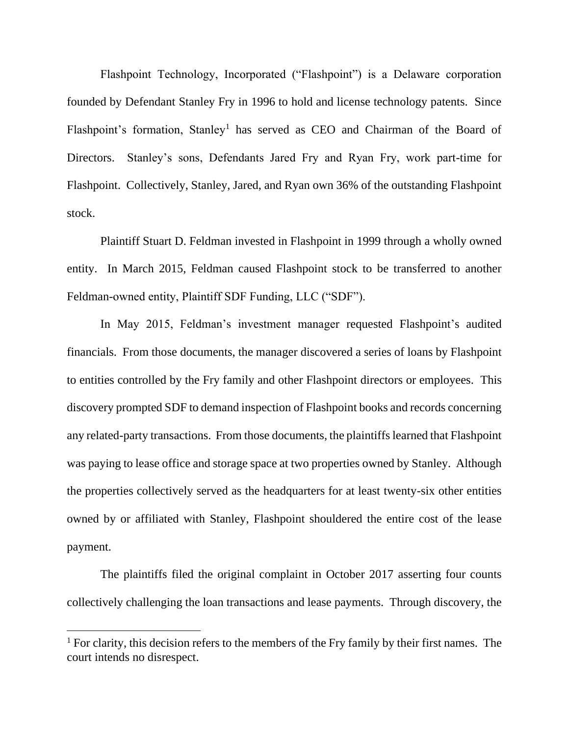Flashpoint Technology, Incorporated ("Flashpoint") is a Delaware corporation founded by Defendant Stanley Fry in 1996 to hold and license technology patents. Since Flashpoint's formation, Stanley<sup>1</sup> has served as CEO and Chairman of the Board of Directors. Stanley's sons, Defendants Jared Fry and Ryan Fry, work part-time for Flashpoint. Collectively, Stanley, Jared, and Ryan own 36% of the outstanding Flashpoint stock.

Plaintiff Stuart D. Feldman invested in Flashpoint in 1999 through a wholly owned entity. In March 2015, Feldman caused Flashpoint stock to be transferred to another Feldman-owned entity, Plaintiff SDF Funding, LLC ("SDF").

In May 2015, Feldman's investment manager requested Flashpoint's audited financials. From those documents, the manager discovered a series of loans by Flashpoint to entities controlled by the Fry family and other Flashpoint directors or employees. This discovery prompted SDF to demand inspection of Flashpoint books and records concerning any related-party transactions. From those documents, the plaintiffs learned that Flashpoint was paying to lease office and storage space at two properties owned by Stanley. Although the properties collectively served as the headquarters for at least twenty-six other entities owned by or affiliated with Stanley, Flashpoint shouldered the entire cost of the lease payment.

The plaintiffs filed the original complaint in October 2017 asserting four counts collectively challenging the loan transactions and lease payments. Through discovery, the

<sup>&</sup>lt;sup>1</sup> For clarity, this decision refers to the members of the Fry family by their first names. The court intends no disrespect.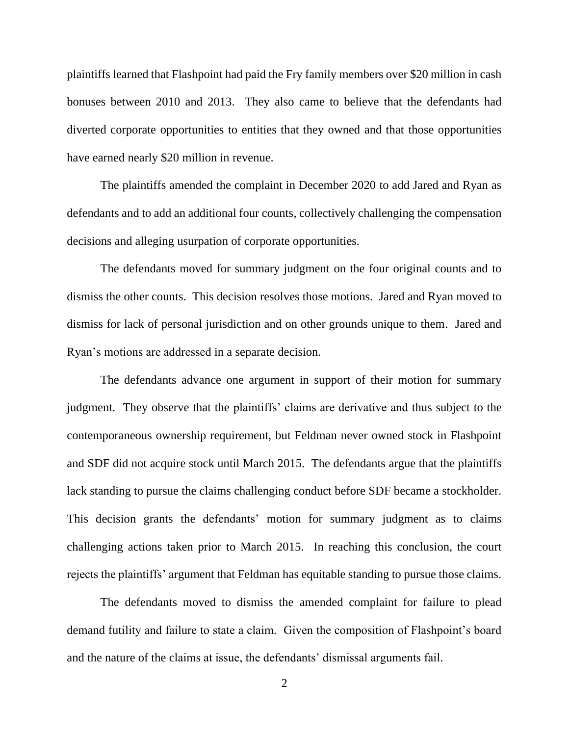plaintiffs learned that Flashpoint had paid the Fry family members over \$20 million in cash bonuses between 2010 and 2013. They also came to believe that the defendants had diverted corporate opportunities to entities that they owned and that those opportunities have earned nearly \$20 million in revenue.

The plaintiffs amended the complaint in December 2020 to add Jared and Ryan as defendants and to add an additional four counts, collectively challenging the compensation decisions and alleging usurpation of corporate opportunities.

The defendants moved for summary judgment on the four original counts and to dismiss the other counts. This decision resolves those motions. Jared and Ryan moved to dismiss for lack of personal jurisdiction and on other grounds unique to them. Jared and Ryan's motions are addressed in a separate decision.

The defendants advance one argument in support of their motion for summary judgment. They observe that the plaintiffs' claims are derivative and thus subject to the contemporaneous ownership requirement, but Feldman never owned stock in Flashpoint and SDF did not acquire stock until March 2015. The defendants argue that the plaintiffs lack standing to pursue the claims challenging conduct before SDF became a stockholder. This decision grants the defendants' motion for summary judgment as to claims challenging actions taken prior to March 2015. In reaching this conclusion, the court rejects the plaintiffs' argument that Feldman has equitable standing to pursue those claims.

The defendants moved to dismiss the amended complaint for failure to plead demand futility and failure to state a claim. Given the composition of Flashpoint's board and the nature of the claims at issue, the defendants' dismissal arguments fail.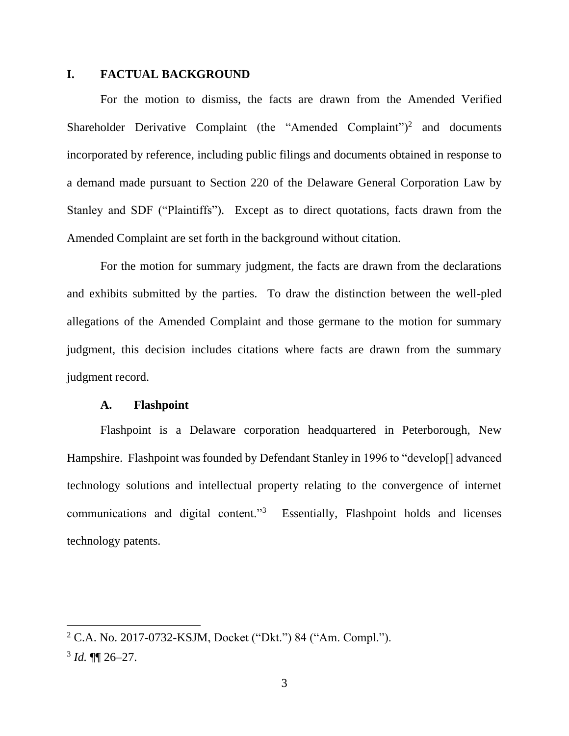## **I. FACTUAL BACKGROUND**

For the motion to dismiss, the facts are drawn from the Amended Verified Shareholder Derivative Complaint (the "Amended Complaint")<sup>2</sup> and documents incorporated by reference, including public filings and documents obtained in response to a demand made pursuant to Section 220 of the Delaware General Corporation Law by Stanley and SDF ("Plaintiffs"). Except as to direct quotations, facts drawn from the Amended Complaint are set forth in the background without citation.

For the motion for summary judgment, the facts are drawn from the declarations and exhibits submitted by the parties. To draw the distinction between the well-pled allegations of the Amended Complaint and those germane to the motion for summary judgment, this decision includes citations where facts are drawn from the summary judgment record.

#### **A. Flashpoint**

Flashpoint is a Delaware corporation headquartered in Peterborough, New Hampshire. Flashpoint was founded by Defendant Stanley in 1996 to "develop[] advanced technology solutions and intellectual property relating to the convergence of internet communications and digital content."<sup>3</sup> Essentially, Flashpoint holds and licenses technology patents.

<sup>2</sup> C.A. No. 2017-0732-KSJM, Docket ("Dkt.") 84 ("Am. Compl.").  $3$  *Id.*  $\P\P$  26–27.

<sup>3</sup>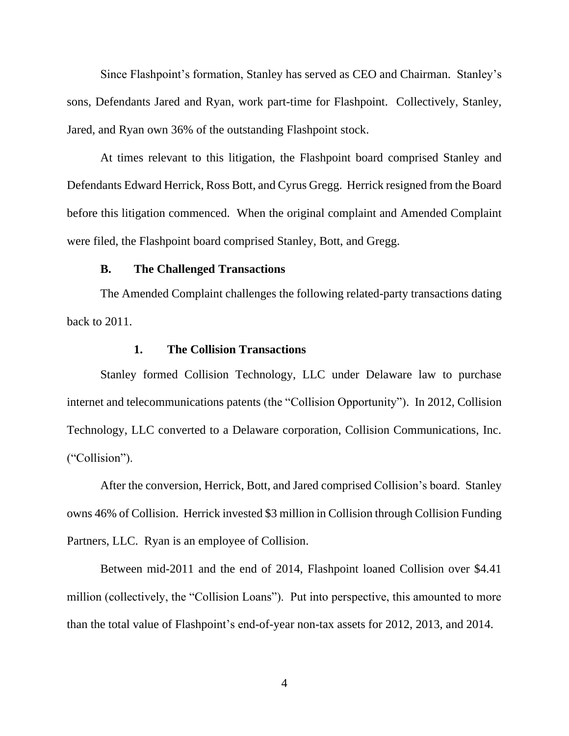Since Flashpoint's formation, Stanley has served as CEO and Chairman. Stanley's sons, Defendants Jared and Ryan, work part-time for Flashpoint. Collectively, Stanley, Jared, and Ryan own 36% of the outstanding Flashpoint stock.

At times relevant to this litigation, the Flashpoint board comprised Stanley and Defendants Edward Herrick, Ross Bott, and Cyrus Gregg. Herrick resigned from the Board before this litigation commenced. When the original complaint and Amended Complaint were filed, the Flashpoint board comprised Stanley, Bott, and Gregg.

#### **B. The Challenged Transactions**

The Amended Complaint challenges the following related-party transactions dating back to 2011.

## **1. The Collision Transactions**

Stanley formed Collision Technology, LLC under Delaware law to purchase internet and telecommunications patents (the "Collision Opportunity"). In 2012, Collision Technology, LLC converted to a Delaware corporation, Collision Communications, Inc. ("Collision").

After the conversion, Herrick, Bott, and Jared comprised Collision's board. Stanley owns 46% of Collision. Herrick invested \$3 million in Collision through Collision Funding Partners, LLC. Ryan is an employee of Collision.

Between mid-2011 and the end of 2014, Flashpoint loaned Collision over \$4.41 million (collectively, the "Collision Loans"). Put into perspective, this amounted to more than the total value of Flashpoint's end-of-year non-tax assets for 2012, 2013, and 2014.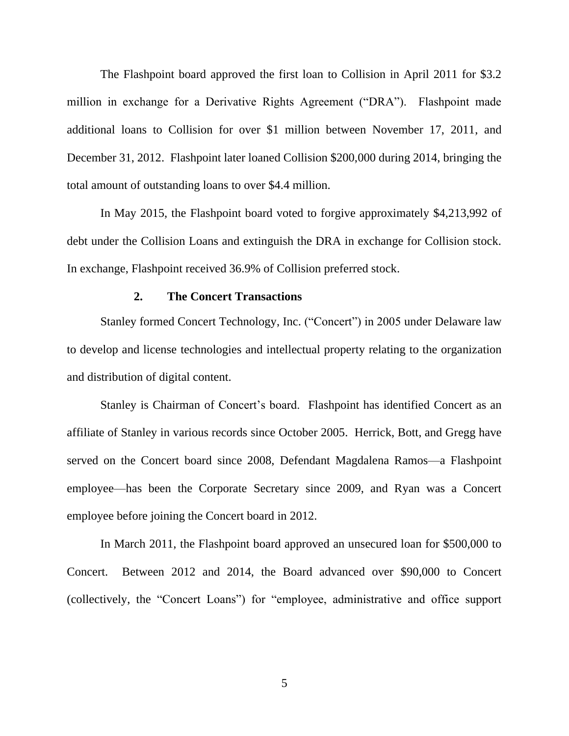The Flashpoint board approved the first loan to Collision in April 2011 for \$3.2 million in exchange for a Derivative Rights Agreement ("DRA"). Flashpoint made additional loans to Collision for over \$1 million between November 17, 2011, and December 31, 2012. Flashpoint later loaned Collision \$200,000 during 2014, bringing the total amount of outstanding loans to over \$4.4 million.

In May 2015, the Flashpoint board voted to forgive approximately \$4,213,992 of debt under the Collision Loans and extinguish the DRA in exchange for Collision stock. In exchange, Flashpoint received 36.9% of Collision preferred stock.

#### **2. The Concert Transactions**

Stanley formed Concert Technology, Inc. ("Concert") in 2005 under Delaware law to develop and license technologies and intellectual property relating to the organization and distribution of digital content.

Stanley is Chairman of Concert's board. Flashpoint has identified Concert as an affiliate of Stanley in various records since October 2005. Herrick, Bott, and Gregg have served on the Concert board since 2008, Defendant Magdalena Ramos—a Flashpoint employee—has been the Corporate Secretary since 2009, and Ryan was a Concert employee before joining the Concert board in 2012.

In March 2011, the Flashpoint board approved an unsecured loan for \$500,000 to Concert. Between 2012 and 2014, the Board advanced over \$90,000 to Concert (collectively, the "Concert Loans") for "employee, administrative and office support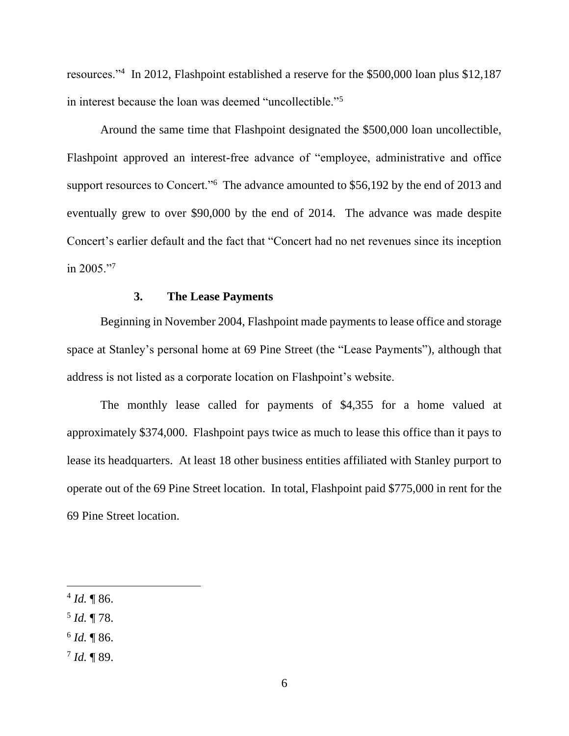resources."<sup>4</sup> In 2012, Flashpoint established a reserve for the \$500,000 loan plus \$12,187 in interest because the loan was deemed "uncollectible."<sup>5</sup>

Around the same time that Flashpoint designated the \$500,000 loan uncollectible, Flashpoint approved an interest-free advance of "employee, administrative and office support resources to Concert."<sup>6</sup> The advance amounted to \$56,192 by the end of 2013 and eventually grew to over \$90,000 by the end of 2014. The advance was made despite Concert's earlier default and the fact that "Concert had no net revenues since its inception in 2005."<sup>7</sup>

#### **3. The Lease Payments**

Beginning in November 2004, Flashpoint made payments to lease office and storage space at Stanley's personal home at 69 Pine Street (the "Lease Payments"), although that address is not listed as a corporate location on Flashpoint's website.

The monthly lease called for payments of \$4,355 for a home valued at approximately \$374,000. Flashpoint pays twice as much to lease this office than it pays to lease its headquarters. At least 18 other business entities affiliated with Stanley purport to operate out of the 69 Pine Street location. In total, Flashpoint paid \$775,000 in rent for the 69 Pine Street location.

- 5 *Id.* ¶ 78.
- 6 *Id.* ¶ 86.
- 7 *Id.* ¶ 89.

 $4$  *Id.*  $\sqrt{\ }86$ .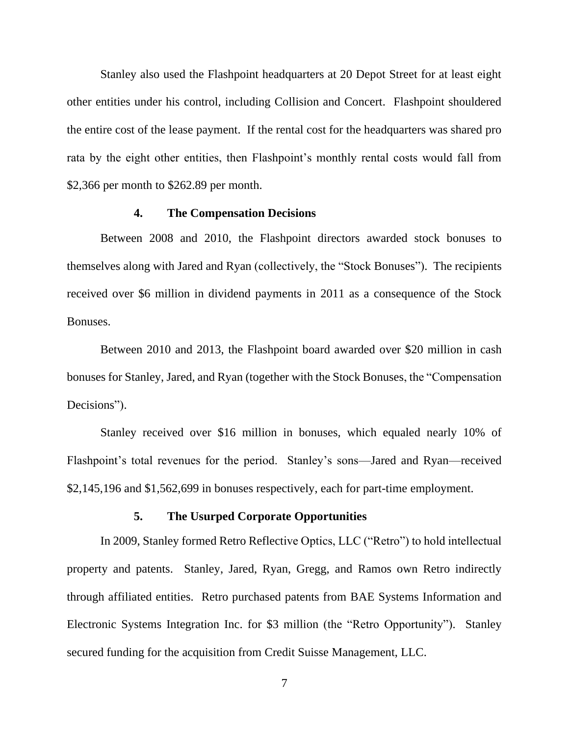Stanley also used the Flashpoint headquarters at 20 Depot Street for at least eight other entities under his control, including Collision and Concert. Flashpoint shouldered the entire cost of the lease payment. If the rental cost for the headquarters was shared pro rata by the eight other entities, then Flashpoint's monthly rental costs would fall from \$2,366 per month to \$262.89 per month.

#### **4. The Compensation Decisions**

Between 2008 and 2010, the Flashpoint directors awarded stock bonuses to themselves along with Jared and Ryan (collectively, the "Stock Bonuses"). The recipients received over \$6 million in dividend payments in 2011 as a consequence of the Stock Bonuses.

Between 2010 and 2013, the Flashpoint board awarded over \$20 million in cash bonuses for Stanley, Jared, and Ryan (together with the Stock Bonuses, the "Compensation Decisions").

Stanley received over \$16 million in bonuses, which equaled nearly 10% of Flashpoint's total revenues for the period. Stanley's sons—Jared and Ryan—received \$2,145,196 and \$1,562,699 in bonuses respectively, each for part-time employment.

#### **5. The Usurped Corporate Opportunities**

In 2009, Stanley formed Retro Reflective Optics, LLC ("Retro") to hold intellectual property and patents. Stanley, Jared, Ryan, Gregg, and Ramos own Retro indirectly through affiliated entities. Retro purchased patents from BAE Systems Information and Electronic Systems Integration Inc. for \$3 million (the "Retro Opportunity"). Stanley secured funding for the acquisition from Credit Suisse Management, LLC.

7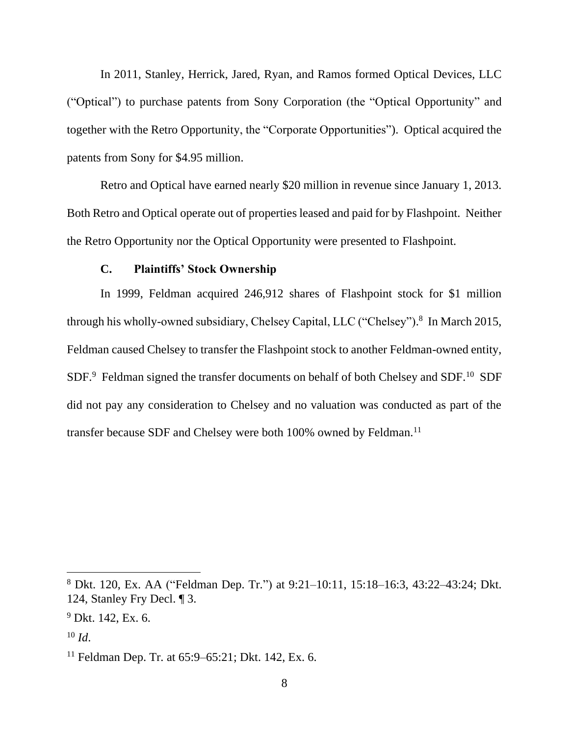In 2011, Stanley, Herrick, Jared, Ryan, and Ramos formed Optical Devices, LLC ("Optical") to purchase patents from Sony Corporation (the "Optical Opportunity" and together with the Retro Opportunity, the "Corporate Opportunities"). Optical acquired the patents from Sony for \$4.95 million.

Retro and Optical have earned nearly \$20 million in revenue since January 1, 2013. Both Retro and Optical operate out of properties leased and paid for by Flashpoint. Neither the Retro Opportunity nor the Optical Opportunity were presented to Flashpoint.

#### **C. Plaintiffs' Stock Ownership**

In 1999, Feldman acquired 246,912 shares of Flashpoint stock for \$1 million through his wholly-owned subsidiary, Chelsey Capital, LLC ("Chelsey"). 8 In March 2015, Feldman caused Chelsey to transfer the Flashpoint stock to another Feldman-owned entity,  $SDF<sup>9</sup>$  Feldman signed the transfer documents on behalf of both Chelsey and SDF.<sup>10</sup> SDF did not pay any consideration to Chelsey and no valuation was conducted as part of the transfer because SDF and Chelsey were both 100% owned by Feldman.<sup>11</sup>

<sup>8</sup> Dkt. 120, Ex. AA ("Feldman Dep. Tr.") at 9:21–10:11, 15:18–16:3, 43:22–43:24; Dkt. 124, Stanley Fry Decl. ¶ 3.

 $9$  Dkt. 142, Ex. 6.

<sup>10</sup> *Id*.

<sup>&</sup>lt;sup>11</sup> Feldman Dep. Tr. at  $65:9-65:21$ ; Dkt. 142, Ex. 6.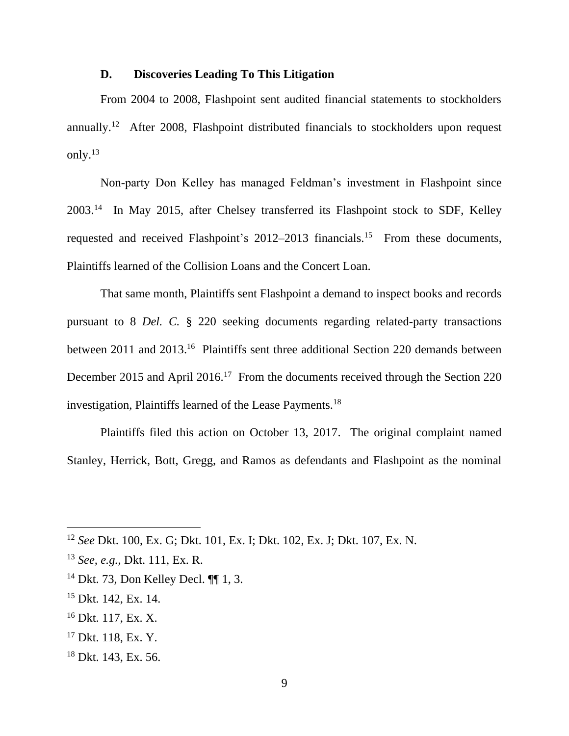## **D. Discoveries Leading To This Litigation**

From 2004 to 2008, Flashpoint sent audited financial statements to stockholders annually.<sup>12</sup> After 2008, Flashpoint distributed financials to stockholders upon request only. $^{13}$ 

Non-party Don Kelley has managed Feldman's investment in Flashpoint since 2003.<sup>14</sup> In May 2015, after Chelsey transferred its Flashpoint stock to SDF, Kelley requested and received Flashpoint's 2012–2013 financials.<sup>15</sup> From these documents, Plaintiffs learned of the Collision Loans and the Concert Loan.

That same month, Plaintiffs sent Flashpoint a demand to inspect books and records pursuant to 8 *Del. C.* § 220 seeking documents regarding related-party transactions between 2011 and 2013.<sup>16</sup> Plaintiffs sent three additional Section 220 demands between December 2015 and April 2016.<sup>17</sup> From the documents received through the Section 220 investigation, Plaintiffs learned of the Lease Payments.<sup>18</sup>

Plaintiffs filed this action on October 13, 2017. The original complaint named Stanley, Herrick, Bott, Gregg, and Ramos as defendants and Flashpoint as the nominal

- <sup>14</sup> Dkt. 73, Don Kelley Decl. ¶¶ 1, 3.
- <sup>15</sup> Dkt. 142, Ex. 14.
- <sup>16</sup> Dkt. 117, Ex. X.
- <sup>17</sup> Dkt. 118, Ex. Y.
- <sup>18</sup> Dkt. 143, Ex. 56.

<sup>12</sup> *See* Dkt. 100, Ex. G; Dkt. 101, Ex. I; Dkt. 102, Ex. J; Dkt. 107, Ex. N.

<sup>13</sup> *See, e.g.*, Dkt. 111, Ex. R.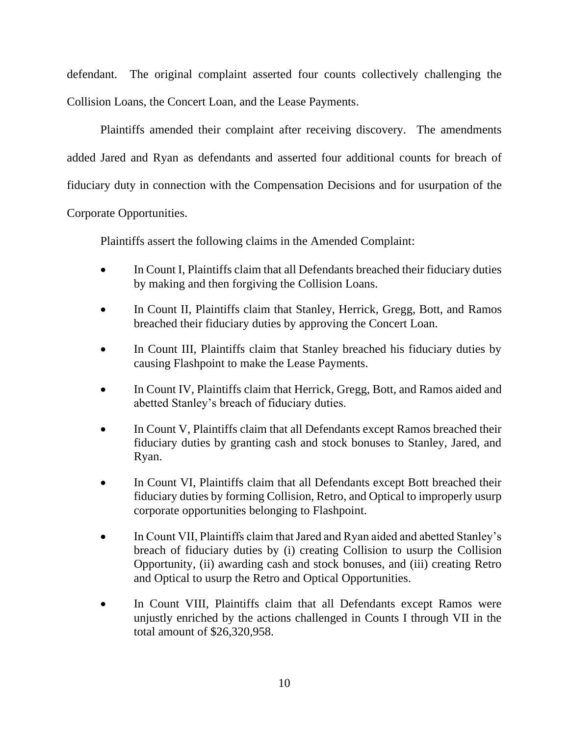defendant. The original complaint asserted four counts collectively challenging the Collision Loans, the Concert Loan, and the Lease Payments.

Plaintiffs amended their complaint after receiving discovery. The amendments added Jared and Ryan as defendants and asserted four additional counts for breach of fiduciary duty in connection with the Compensation Decisions and for usurpation of the Corporate Opportunities.

Plaintiffs assert the following claims in the Amended Complaint:

- In Count I, Plaintiffs claim that all Defendants breached their fiduciary duties by making and then forgiving the Collision Loans.
- In Count II, Plaintiffs claim that Stanley, Herrick, Gregg, Bott, and Ramos breached their fiduciary duties by approving the Concert Loan.
- In Count III, Plaintiffs claim that Stanley breached his fiduciary duties by causing Flashpoint to make the Lease Payments.
- In Count IV, Plaintiffs claim that Herrick, Gregg, Bott, and Ramos aided and abetted Stanley's breach of fiduciary duties.
- In Count V, Plaintiffs claim that all Defendants except Ramos breached their fiduciary duties by granting cash and stock bonuses to Stanley, Jared, and Ryan.
- In Count VI, Plaintiffs claim that all Defendants except Bott breached their fiduciary duties by forming Collision, Retro, and Optical to improperly usurp corporate opportunities belonging to Flashpoint.
- In Count VII, Plaintiffs claim that Jared and Ryan aided and abetted Stanley's breach of fiduciary duties by (i) creating Collision to usurp the Collision Opportunity, (ii) awarding cash and stock bonuses, and (iii) creating Retro and Optical to usurp the Retro and Optical Opportunities.
- In Count VIII, Plaintiffs claim that all Defendants except Ramos were unjustly enriched by the actions challenged in Counts I through VII in the total amount of \$26,320,958.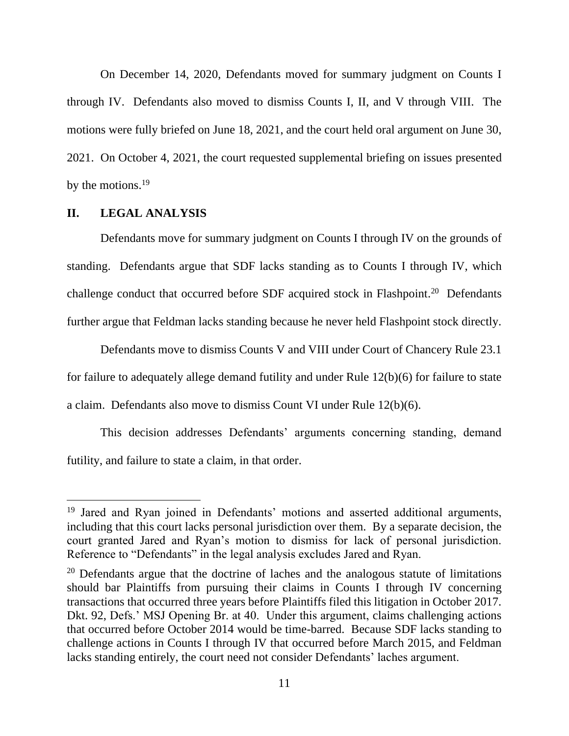On December 14, 2020, Defendants moved for summary judgment on Counts I through IV. Defendants also moved to dismiss Counts I, II, and V through VIII. The motions were fully briefed on June 18, 2021, and the court held oral argument on June 30, 2021. On October 4, 2021, the court requested supplemental briefing on issues presented by the motions.<sup>19</sup>

#### **II. LEGAL ANALYSIS**

Defendants move for summary judgment on Counts I through IV on the grounds of standing. Defendants argue that SDF lacks standing as to Counts I through IV, which challenge conduct that occurred before SDF acquired stock in Flashpoint.<sup>20</sup> Defendants further argue that Feldman lacks standing because he never held Flashpoint stock directly.

Defendants move to dismiss Counts V and VIII under Court of Chancery Rule 23.1 for failure to adequately allege demand futility and under Rule 12(b)(6) for failure to state a claim. Defendants also move to dismiss Count VI under Rule 12(b)(6).

This decision addresses Defendants' arguments concerning standing, demand futility, and failure to state a claim, in that order.

<sup>&</sup>lt;sup>19</sup> Jared and Ryan joined in Defendants' motions and asserted additional arguments, including that this court lacks personal jurisdiction over them. By a separate decision, the court granted Jared and Ryan's motion to dismiss for lack of personal jurisdiction. Reference to "Defendants" in the legal analysis excludes Jared and Ryan.

 $20$  Defendants argue that the doctrine of laches and the analogous statute of limitations should bar Plaintiffs from pursuing their claims in Counts I through IV concerning transactions that occurred three years before Plaintiffs filed this litigation in October 2017. Dkt. 92, Defs.' MSJ Opening Br. at 40. Under this argument, claims challenging actions that occurred before October 2014 would be time-barred. Because SDF lacks standing to challenge actions in Counts I through IV that occurred before March 2015, and Feldman lacks standing entirely, the court need not consider Defendants' laches argument.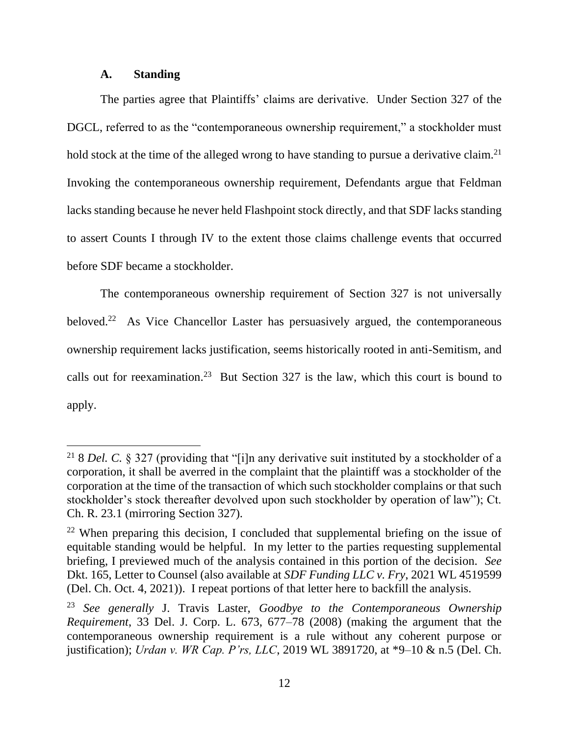#### **A. Standing**

The parties agree that Plaintiffs' claims are derivative. Under Section 327 of the DGCL, referred to as the "contemporaneous ownership requirement," a stockholder must hold stock at the time of the alleged wrong to have standing to pursue a derivative claim.<sup>21</sup> Invoking the contemporaneous ownership requirement, Defendants argue that Feldman lacks standing because he never held Flashpoint stock directly, and that SDF lacks standing to assert Counts I through IV to the extent those claims challenge events that occurred before SDF became a stockholder.

The contemporaneous ownership requirement of Section 327 is not universally beloved.<sup>22</sup> As Vice Chancellor Laster has persuasively argued, the contemporaneous ownership requirement lacks justification, seems historically rooted in anti-Semitism, and calls out for reexamination.<sup>23</sup> But Section 327 is the law, which this court is bound to apply.

<sup>&</sup>lt;sup>21</sup> 8 *Del. C.* § 327 (providing that "[i]n any derivative suit instituted by a stockholder of a corporation, it shall be averred in the complaint that the plaintiff was a stockholder of the corporation at the time of the transaction of which such stockholder complains or that such stockholder's stock thereafter devolved upon such stockholder by operation of law"); Ct. Ch. R. 23.1 (mirroring Section 327).

 $22$  When preparing this decision, I concluded that supplemental briefing on the issue of equitable standing would be helpful. In my letter to the parties requesting supplemental briefing, I previewed much of the analysis contained in this portion of the decision. *See*  Dkt. 165, Letter to Counsel (also available at *SDF Funding LLC v. Fry*, 2021 WL 4519599 (Del. Ch. Oct. 4, 2021)). I repeat portions of that letter here to backfill the analysis.

<sup>23</sup> *See generally* J. Travis Laster, *Goodbye to the Contemporaneous Ownership Requirement*, 33 Del. J. Corp. L. 673, 677–78 (2008) (making the argument that the contemporaneous ownership requirement is a rule without any coherent purpose or justification); *Urdan v. WR Cap. P'rs, LLC*, 2019 WL 3891720, at \*9–10 & n.5 (Del. Ch.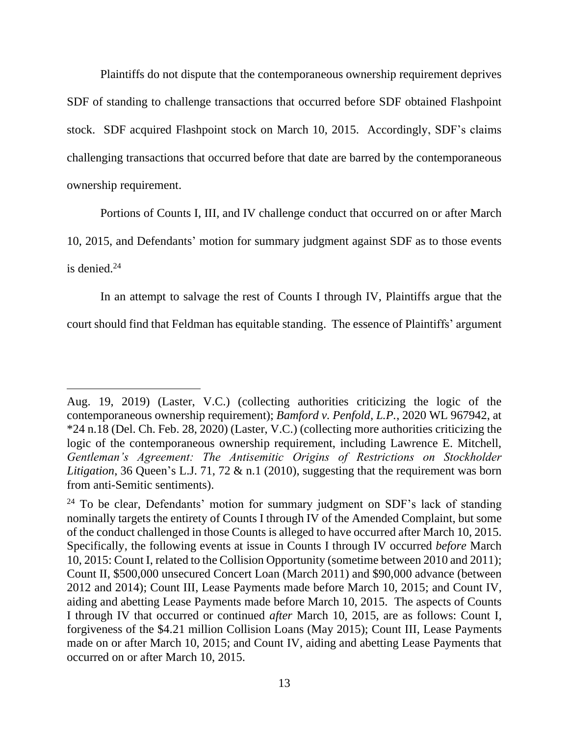Plaintiffs do not dispute that the contemporaneous ownership requirement deprives SDF of standing to challenge transactions that occurred before SDF obtained Flashpoint stock. SDF acquired Flashpoint stock on March 10, 2015. Accordingly, SDF's claims challenging transactions that occurred before that date are barred by the contemporaneous ownership requirement.

Portions of Counts I, III, and IV challenge conduct that occurred on or after March

10, 2015, and Defendants' motion for summary judgment against SDF as to those events

is denied. $24$ 

In an attempt to salvage the rest of Counts I through IV, Plaintiffs argue that the

court should find that Feldman has equitable standing. The essence of Plaintiffs' argument

Aug. 19, 2019) (Laster, V.C.) (collecting authorities criticizing the logic of the contemporaneous ownership requirement); *Bamford v. Penfold, L.P.*, 2020 WL 967942, at \*24 n.18 (Del. Ch. Feb. 28, 2020) (Laster, V.C.) (collecting more authorities criticizing the logic of the contemporaneous ownership requirement, including Lawrence E. Mitchell, *Gentleman's Agreement: The Antisemitic Origins of Restrictions on Stockholder Litigation*, 36 Queen's L.J. 71, 72 & n.1 (2010), suggesting that the requirement was born from anti-Semitic sentiments).

<sup>&</sup>lt;sup>24</sup> To be clear, Defendants' motion for summary judgment on SDF's lack of standing nominally targets the entirety of Counts I through IV of the Amended Complaint, but some of the conduct challenged in those Counts is alleged to have occurred after March 10, 2015. Specifically, the following events at issue in Counts I through IV occurred *before* March 10, 2015: Count I, related to the Collision Opportunity (sometime between 2010 and 2011); Count II, \$500,000 unsecured Concert Loan (March 2011) and \$90,000 advance (between 2012 and 2014); Count III, Lease Payments made before March 10, 2015; and Count IV, aiding and abetting Lease Payments made before March 10, 2015. The aspects of Counts I through IV that occurred or continued *after* March 10, 2015, are as follows: Count I, forgiveness of the \$4.21 million Collision Loans (May 2015); Count III, Lease Payments made on or after March 10, 2015; and Count IV, aiding and abetting Lease Payments that occurred on or after March 10, 2015.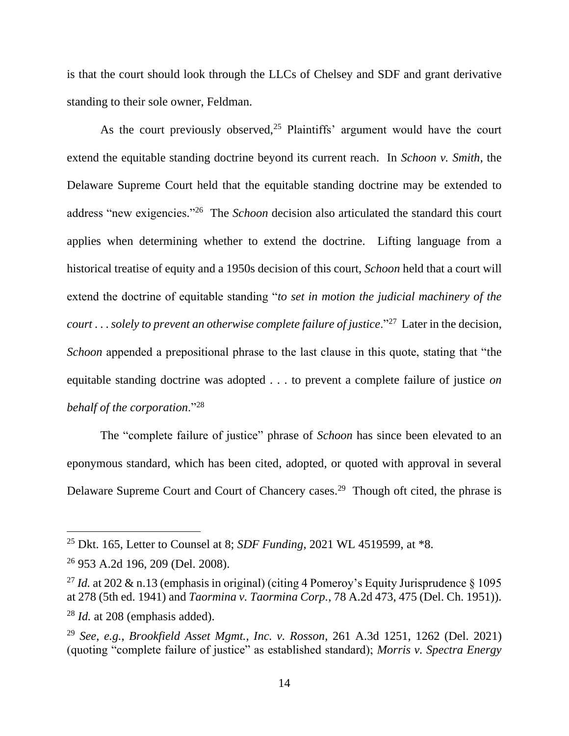is that the court should look through the LLCs of Chelsey and SDF and grant derivative standing to their sole owner, Feldman.

As the court previously observed,<sup>25</sup> Plaintiffs' argument would have the court extend the equitable standing doctrine beyond its current reach. In *Schoon v. Smith*, the Delaware Supreme Court held that the equitable standing doctrine may be extended to address "new exigencies."<sup>26</sup> The *Schoon* decision also articulated the standard this court applies when determining whether to extend the doctrine. Lifting language from a historical treatise of equity and a 1950s decision of this court, *Schoon* held that a court will extend the doctrine of equitable standing "*to set in motion the judicial machinery of the court* . . . *solely to prevent an otherwise complete failure of justice*."<sup>27</sup> Later in the decision, *Schoon* appended a prepositional phrase to the last clause in this quote, stating that "the equitable standing doctrine was adopted . . . to prevent a complete failure of justice *on behalf of the corporation*."<sup>28</sup>

The "complete failure of justice" phrase of *Schoon* has since been elevated to an eponymous standard, which has been cited, adopted, or quoted with approval in several Delaware Supreme Court and Court of Chancery cases.<sup>29</sup> Though oft cited, the phrase is

<sup>25</sup> Dkt. 165, Letter to Counsel at 8; *SDF Funding*, 2021 WL 4519599, at \*8.

<sup>26</sup> 953 A.2d 196, 209 (Del. 2008).

<sup>&</sup>lt;sup>27</sup> *Id.* at 202 & n.13 (emphasis in original) (citing 4 Pomeroy's Equity Jurisprudence  $\S$  1095 at 278 (5th ed. 1941) and *Taormina v. Taormina Corp.*, 78 A.2d 473, 475 (Del. Ch. 1951)). <sup>28</sup> *Id.* at 208 (emphasis added).

<sup>29</sup> *See*, *e.g.*, *Brookfield Asset Mgmt., Inc. v. Rosson*, 261 A.3d 1251, 1262 (Del. 2021) (quoting "complete failure of justice" as established standard); *Morris v. Spectra Energy*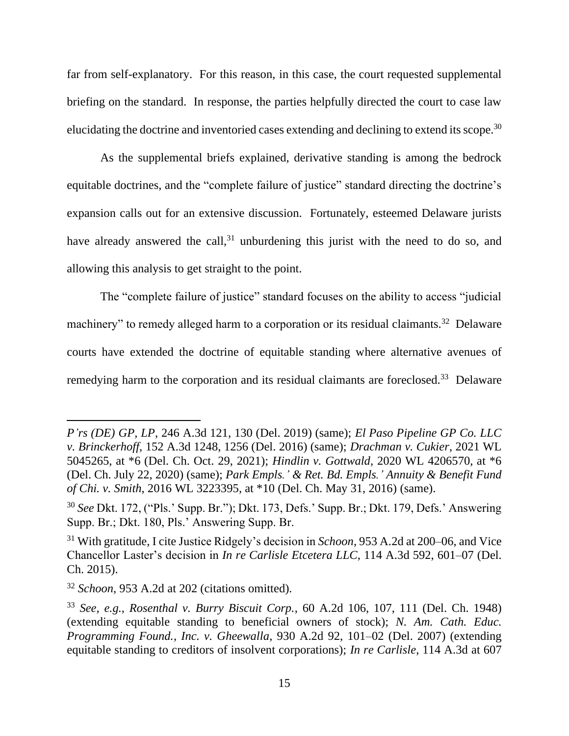far from self-explanatory. For this reason, in this case, the court requested supplemental briefing on the standard. In response, the parties helpfully directed the court to case law elucidating the doctrine and inventoried cases extending and declining to extend its scope.<sup>30</sup>

As the supplemental briefs explained, derivative standing is among the bedrock equitable doctrines, and the "complete failure of justice" standard directing the doctrine's expansion calls out for an extensive discussion. Fortunately, esteemed Delaware jurists have already answered the call,  $31$  unburdening this jurist with the need to do so, and allowing this analysis to get straight to the point.

The "complete failure of justice" standard focuses on the ability to access "judicial machinery" to remedy alleged harm to a corporation or its residual claimants.<sup>32</sup> Delaware courts have extended the doctrine of equitable standing where alternative avenues of remedying harm to the corporation and its residual claimants are foreclosed.<sup>33</sup> Delaware

*P'rs (DE) GP, LP*, 246 A.3d 121, 130 (Del. 2019) (same); *El Paso Pipeline GP Co. LLC v. Brinckerhoff*, 152 A.3d 1248, 1256 (Del. 2016) (same); *Drachman v. Cukier*, 2021 WL 5045265, at \*6 (Del. Ch. Oct. 29, 2021); *Hindlin v. Gottwald*, 2020 WL 4206570, at \*6 (Del. Ch. July 22, 2020) (same); *Park Empls.' & Ret. Bd. Empls.' Annuity & Benefit Fund of Chi. v. Smith*, 2016 WL 3223395, at \*10 (Del. Ch. May 31, 2016) (same).

<sup>30</sup> *See* Dkt. 172, ("Pls.' Supp. Br."); Dkt. 173, Defs.' Supp. Br.; Dkt. 179, Defs.' Answering Supp. Br.; Dkt. 180, Pls.' Answering Supp. Br.

<sup>31</sup> With gratitude, I cite Justice Ridgely's decision in *Schoon*, 953 A.2d at 200–06, and Vice Chancellor Laster's decision in *In re Carlisle Etcetera LLC*, 114 A.3d 592, 601–07 (Del. Ch. 2015).

<sup>32</sup> *Schoon*, 953 A.2d at 202 (citations omitted).

<sup>33</sup> *See, e.g.*, *Rosenthal v. Burry Biscuit Corp.*, 60 A.2d 106, 107, 111 (Del. Ch. 1948) (extending equitable standing to beneficial owners of stock); *N. Am. Cath. Educ. Programming Found., Inc. v. Gheewalla*, 930 A.2d 92, 101–02 (Del. 2007) (extending equitable standing to creditors of insolvent corporations); *In re Carlisle*, 114 A.3d at 607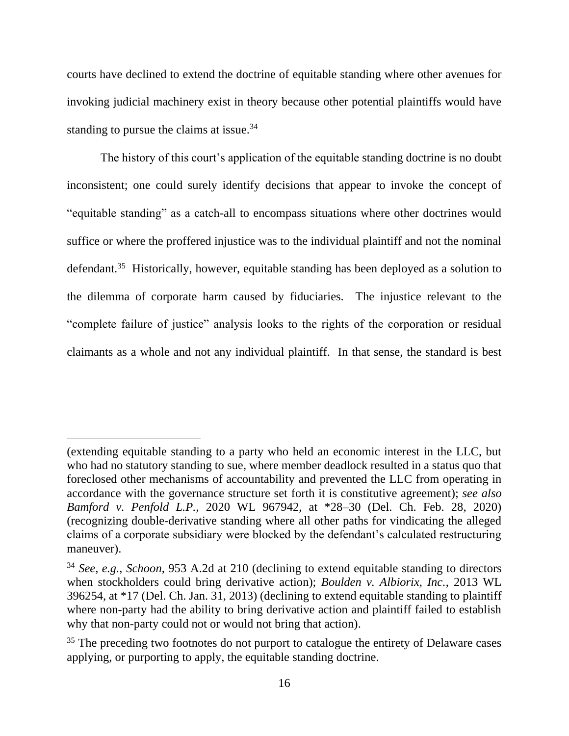courts have declined to extend the doctrine of equitable standing where other avenues for invoking judicial machinery exist in theory because other potential plaintiffs would have standing to pursue the claims at issue.<sup>34</sup>

The history of this court's application of the equitable standing doctrine is no doubt inconsistent; one could surely identify decisions that appear to invoke the concept of "equitable standing" as a catch-all to encompass situations where other doctrines would suffice or where the proffered injustice was to the individual plaintiff and not the nominal defendant.<sup>35</sup> Historically, however, equitable standing has been deployed as a solution to the dilemma of corporate harm caused by fiduciaries. The injustice relevant to the "complete failure of justice" analysis looks to the rights of the corporation or residual claimants as a whole and not any individual plaintiff. In that sense, the standard is best

<sup>(</sup>extending equitable standing to a party who held an economic interest in the LLC, but who had no statutory standing to sue, where member deadlock resulted in a status quo that foreclosed other mechanisms of accountability and prevented the LLC from operating in accordance with the governance structure set forth it is constitutive agreement); *see also Bamford v. Penfold L.P.*, 2020 WL 967942, at \*28–30 (Del. Ch. Feb. 28, 2020) (recognizing double-derivative standing where all other paths for vindicating the alleged claims of a corporate subsidiary were blocked by the defendant's calculated restructuring maneuver).

<sup>34</sup> *See, e.g.*, *Schoon*, 953 A.2d at 210 (declining to extend equitable standing to directors when stockholders could bring derivative action); *Boulden v. Albiorix, Inc.*, 2013 WL 396254, at \*17 (Del. Ch. Jan. 31, 2013) (declining to extend equitable standing to plaintiff where non-party had the ability to bring derivative action and plaintiff failed to establish why that non-party could not or would not bring that action).

<sup>&</sup>lt;sup>35</sup> The preceding two footnotes do not purport to catalogue the entirety of Delaware cases applying, or purporting to apply, the equitable standing doctrine.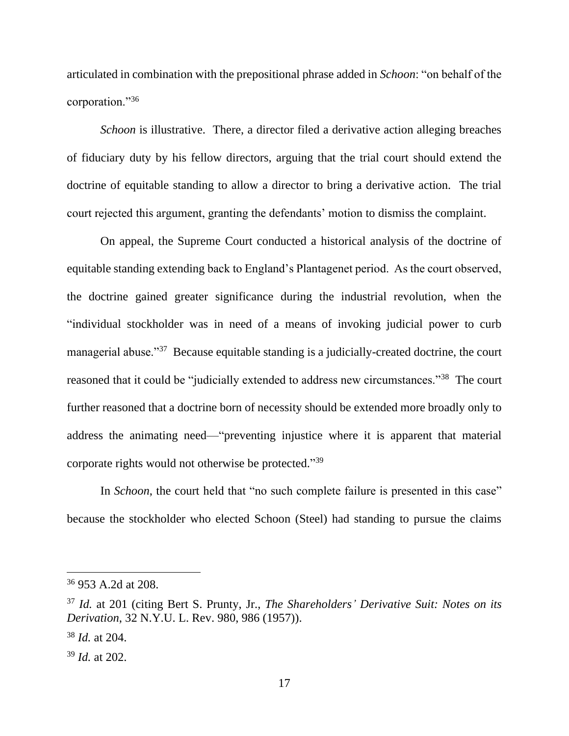articulated in combination with the prepositional phrase added in *Schoon*: "on behalf of the corporation."<sup>36</sup>

*Schoon* is illustrative. There, a director filed a derivative action alleging breaches of fiduciary duty by his fellow directors, arguing that the trial court should extend the doctrine of equitable standing to allow a director to bring a derivative action. The trial court rejected this argument, granting the defendants' motion to dismiss the complaint.

On appeal, the Supreme Court conducted a historical analysis of the doctrine of equitable standing extending back to England's Plantagenet period. As the court observed, the doctrine gained greater significance during the industrial revolution, when the "individual stockholder was in need of a means of invoking judicial power to curb managerial abuse."<sup>37</sup> Because equitable standing is a judicially-created doctrine, the court reasoned that it could be "judicially extended to address new circumstances."<sup>38</sup> The court further reasoned that a doctrine born of necessity should be extended more broadly only to address the animating need—"preventing injustice where it is apparent that material corporate rights would not otherwise be protected." 39

In *Schoon*, the court held that "no such complete failure is presented in this case" because the stockholder who elected Schoon (Steel) had standing to pursue the claims

<sup>36</sup> 953 A.2d at 208.

<sup>37</sup> *Id.* at 201 (citing Bert S. Prunty, Jr., *The Shareholders' Derivative Suit: Notes on its Derivation*, 32 N.Y.U. L. Rev. 980, 986 (1957)).

<sup>38</sup> *Id.* at 204.

<sup>39</sup> *Id.* at 202.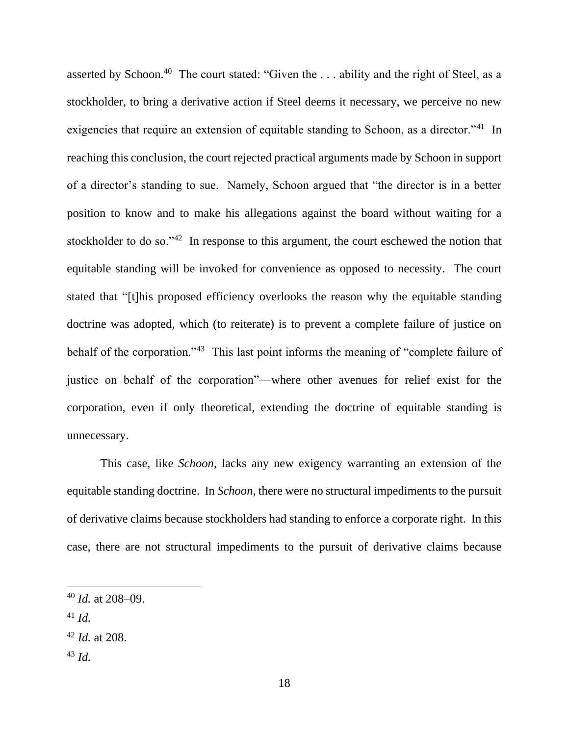asserted by Schoon.<sup>40</sup> The court stated: "Given the ... ability and the right of Steel, as a stockholder, to bring a derivative action if Steel deems it necessary, we perceive no new exigencies that require an extension of equitable standing to Schoon, as a director."<sup>41</sup> In reaching this conclusion, the court rejected practical arguments made by Schoon in support of a director's standing to sue. Namely, Schoon argued that "the director is in a better position to know and to make his allegations against the board without waiting for a stockholder to do so."<sup>42</sup> In response to this argument, the court eschewed the notion that equitable standing will be invoked for convenience as opposed to necessity. The court stated that "[t]his proposed efficiency overlooks the reason why the equitable standing doctrine was adopted, which (to reiterate) is to prevent a complete failure of justice on behalf of the corporation."<sup>43</sup> This last point informs the meaning of "complete failure of justice on behalf of the corporation"—where other avenues for relief exist for the corporation, even if only theoretical, extending the doctrine of equitable standing is unnecessary.

This case, like *Schoon*, lacks any new exigency warranting an extension of the equitable standing doctrine. In *Schoon*, there were no structural impediments to the pursuit of derivative claims because stockholders had standing to enforce a corporate right. In this case, there are not structural impediments to the pursuit of derivative claims because

<sup>43</sup> *Id.*

<sup>40</sup> *Id.* at 208–09.

 $41$  *Id.* 

<sup>42</sup> *Id.* at 208.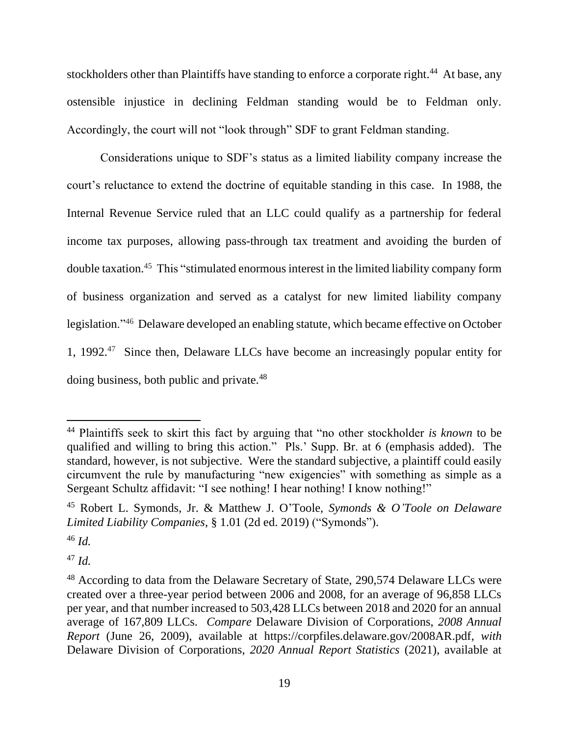stockholders other than Plaintiffs have standing to enforce a corporate right.<sup>44</sup> At base, any ostensible injustice in declining Feldman standing would be to Feldman only. Accordingly, the court will not "look through" SDF to grant Feldman standing.

Considerations unique to SDF's status as a limited liability company increase the court's reluctance to extend the doctrine of equitable standing in this case. In 1988, the Internal Revenue Service ruled that an LLC could qualify as a partnership for federal income tax purposes, allowing pass-through tax treatment and avoiding the burden of double taxation.<sup>45</sup> This "stimulated enormous interest in the limited liability company form of business organization and served as a catalyst for new limited liability company legislation."<sup>46</sup> Delaware developed an enabling statute, which became effective on October 1, 1992.<sup>47</sup> Since then, Delaware LLCs have become an increasingly popular entity for doing business, both public and private.<sup>48</sup>

<sup>47</sup> *Id.*

<sup>44</sup> Plaintiffs seek to skirt this fact by arguing that "no other stockholder *is known* to be qualified and willing to bring this action." Pls.' Supp. Br. at 6 (emphasis added). The standard, however, is not subjective. Were the standard subjective, a plaintiff could easily circumvent the rule by manufacturing "new exigencies" with something as simple as a Sergeant Schultz affidavit: "I see nothing! I hear nothing! I know nothing!"

<sup>45</sup> Robert L. Symonds, Jr. & Matthew J. O'Toole, *Symonds & O'Toole on Delaware Limited Liability Companies*, § 1.01 (2d ed. 2019) ("Symonds").

<sup>46</sup> *Id.*

<sup>&</sup>lt;sup>48</sup> According to data from the Delaware Secretary of State, 290,574 Delaware LLCs were created over a three-year period between 2006 and 2008, for an average of 96,858 LLCs per year, and that number increased to 503,428 LLCs between 2018 and 2020 for an annual average of 167,809 LLCs. *Compare* Delaware Division of Corporations, *2008 Annual Report* (June 26, 2009), available at https://corpfiles.delaware.gov/2008AR.pdf, *with* Delaware Division of Corporations, *2020 Annual Report Statistics* (2021), available at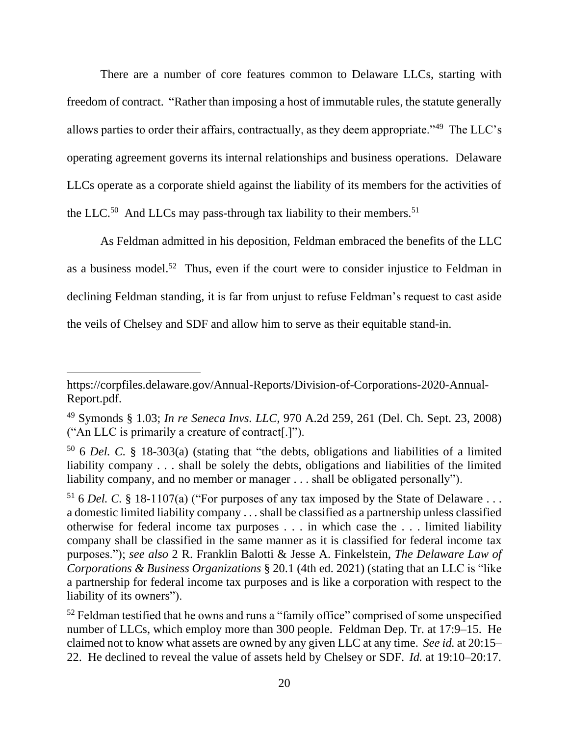There are a number of core features common to Delaware LLCs, starting with freedom of contract. "Rather than imposing a host of immutable rules, the statute generally allows parties to order their affairs, contractually, as they deem appropriate."<sup>49</sup> The LLC's operating agreement governs its internal relationships and business operations. Delaware LLCs operate as a corporate shield against the liability of its members for the activities of the LLC.<sup>50</sup> And LLCs may pass-through tax liability to their members.<sup>51</sup>

As Feldman admitted in his deposition, Feldman embraced the benefits of the LLC as a business model.<sup>52</sup> Thus, even if the court were to consider injustice to Feldman in declining Feldman standing, it is far from unjust to refuse Feldman's request to cast aside the veils of Chelsey and SDF and allow him to serve as their equitable stand-in.

https://corpfiles.delaware.gov/Annual-Reports/Division-of-Corporations-2020-Annual-Report.pdf.

<sup>49</sup> Symonds § 1.03; *In re Seneca Invs. LLC*, 970 A.2d 259, 261 (Del. Ch. Sept. 23, 2008) ("An LLC is primarily a creature of contract[.]").

<sup>50</sup> 6 *Del. C.* § 18-303(a) (stating that "the debts, obligations and liabilities of a limited liability company . . . shall be solely the debts, obligations and liabilities of the limited liability company, and no member or manager . . . shall be obligated personally").

<sup>&</sup>lt;sup>51</sup> 6 *Del. C.* § 18-1107(a) ("For purposes of any tax imposed by the State of Delaware ... a domestic limited liability company . . . shall be classified as a partnership unless classified otherwise for federal income tax purposes . . . in which case the . . . limited liability company shall be classified in the same manner as it is classified for federal income tax purposes."); *see also* 2 R. Franklin Balotti & Jesse A. Finkelstein, *The Delaware Law of Corporations & Business Organizations* § 20.1 (4th ed. 2021) (stating that an LLC is "like a partnership for federal income tax purposes and is like a corporation with respect to the liability of its owners").

 $52$  Feldman testified that he owns and runs a "family office" comprised of some unspecified number of LLCs, which employ more than 300 people. Feldman Dep. Tr. at 17:9–15. He claimed not to know what assets are owned by any given LLC at any time. *See id.* at 20:15– 22. He declined to reveal the value of assets held by Chelsey or SDF. *Id.* at 19:10–20:17.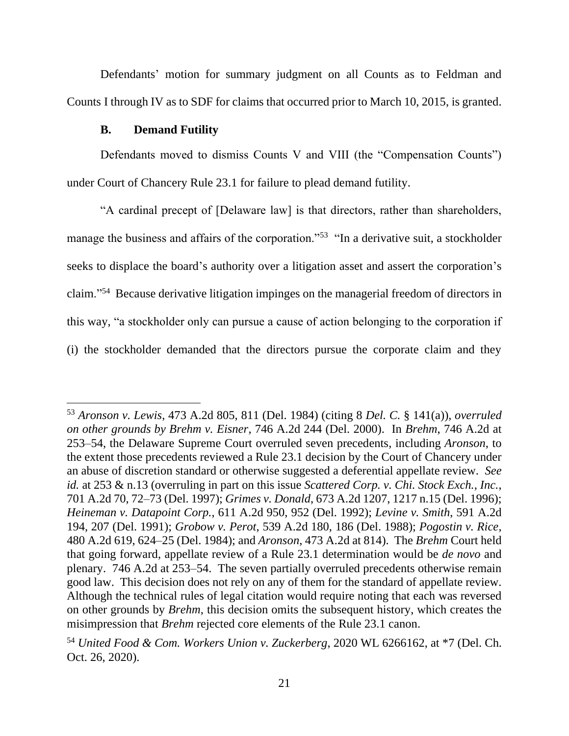Defendants' motion for summary judgment on all Counts as to Feldman and Counts I through IV as to SDF for claims that occurred prior to March 10, 2015, is granted.

## **B. Demand Futility**

Defendants moved to dismiss Counts V and VIII (the "Compensation Counts") under Court of Chancery Rule 23.1 for failure to plead demand futility.

"A cardinal precept of [Delaware law] is that directors, rather than shareholders, manage the business and affairs of the corporation."<sup>53</sup> "In a derivative suit, a stockholder seeks to displace the board's authority over a litigation asset and assert the corporation's claim."<sup>54</sup> Because derivative litigation impinges on the managerial freedom of directors in this way, "a stockholder only can pursue a cause of action belonging to the corporation if (i) the stockholder demanded that the directors pursue the corporate claim and they

<sup>53</sup> *Aronson v. Lewis*, 473 A.2d 805, 811 (Del. 1984) (citing 8 *Del. C.* § 141(a)), *overruled on other grounds by Brehm v. Eisner*, 746 A.2d 244 (Del. 2000). In *Brehm*, 746 A.2d at 253–54, the Delaware Supreme Court overruled seven precedents, including *Aronson*, to the extent those precedents reviewed a Rule 23.1 decision by the Court of Chancery under an abuse of discretion standard or otherwise suggested a deferential appellate review. *See id.* at 253 & n.13 (overruling in part on this issue *Scattered Corp. v. Chi. Stock Exch., Inc.*, 701 A.2d 70, 72–73 (Del. 1997); *Grimes v. Donald*, 673 A.2d 1207, 1217 n.15 (Del. 1996); *Heineman v. Datapoint Corp.*, 611 A.2d 950, 952 (Del. 1992); *Levine v. Smith*, 591 A.2d 194, 207 (Del. 1991); *Grobow v. Perot*, 539 A.2d 180, 186 (Del. 1988); *Pogostin v. Rice*, 480 A.2d 619, 624–25 (Del. 1984); and *Aronson*, 473 A.2d at 814). The *Brehm* Court held that going forward, appellate review of a Rule 23.1 determination would be *de novo* and plenary. 746 A.2d at 253–54. The seven partially overruled precedents otherwise remain good law. This decision does not rely on any of them for the standard of appellate review. Although the technical rules of legal citation would require noting that each was reversed on other grounds by *Brehm*, this decision omits the subsequent history, which creates the misimpression that *Brehm* rejected core elements of the Rule 23.1 canon.

<sup>54</sup> *United Food & Com. Workers Union v. Zuckerberg*, 2020 WL 6266162, at \*7 (Del. Ch. Oct. 26, 2020).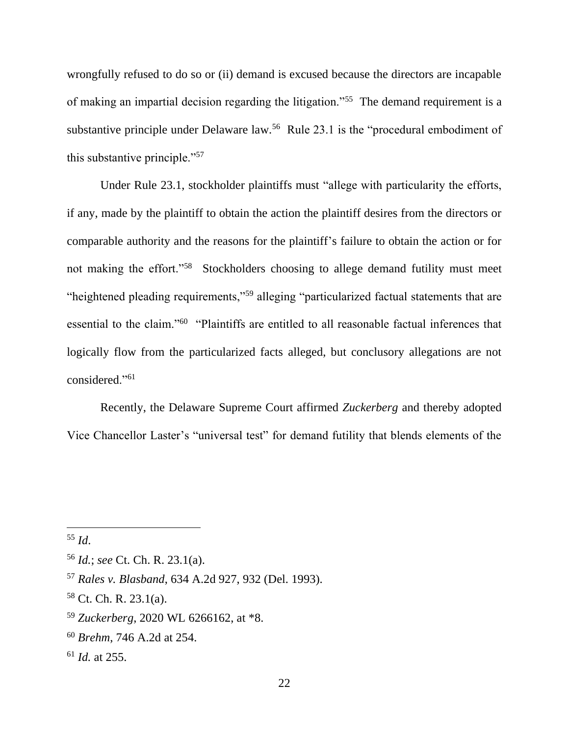wrongfully refused to do so or (ii) demand is excused because the directors are incapable of making an impartial decision regarding the litigation."<sup>55</sup> The demand requirement is a substantive principle under Delaware law.<sup>56</sup> Rule 23.1 is the "procedural embodiment of this substantive principle."<sup>57</sup>

Under Rule 23.1, stockholder plaintiffs must "allege with particularity the efforts, if any, made by the plaintiff to obtain the action the plaintiff desires from the directors or comparable authority and the reasons for the plaintiff's failure to obtain the action or for not making the effort."<sup>58</sup> Stockholders choosing to allege demand futility must meet "heightened pleading requirements,"<sup>59</sup> alleging "particularized factual statements that are essential to the claim."<sup>60</sup> "Plaintiffs are entitled to all reasonable factual inferences that logically flow from the particularized facts alleged, but conclusory allegations are not considered."<sup>61</sup>

Recently, the Delaware Supreme Court affirmed *Zuckerberg* and thereby adopted Vice Chancellor Laster's "universal test" for demand futility that blends elements of the

- <sup>60</sup> *Brehm*, 746 A.2d at 254.
- <sup>61</sup> *Id.* at 255.

<sup>55</sup> *Id*.

<sup>56</sup> *Id.*; *see* Ct. Ch. R. 23.1(a).

<sup>57</sup> *Rales v. Blasband*, 634 A.2d 927, 932 (Del. 1993).

 $58$  Ct. Ch. R. 23.1(a).

<sup>59</sup> *Zuckerberg*, 2020 WL 6266162, at \*8.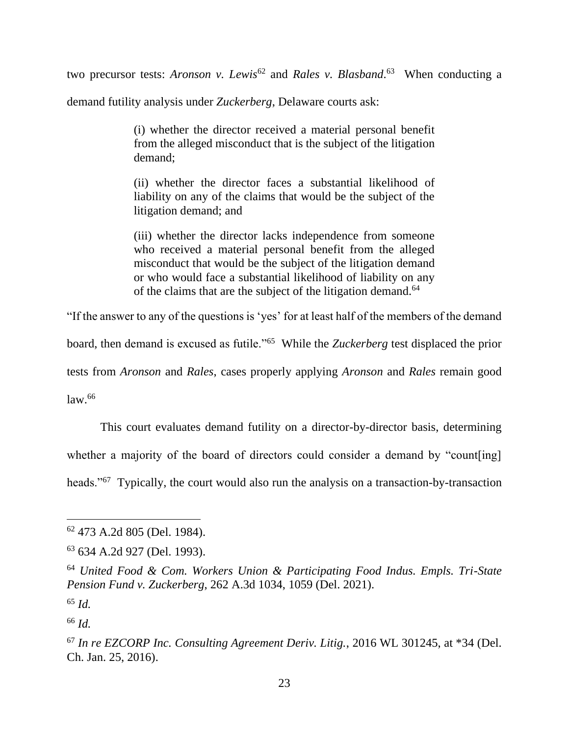two precursor tests: *Aronson v. Lewis*<sup>62</sup> and *Rales v. Blasband*.<sup>63</sup> When conducting a

demand futility analysis under *Zuckerberg*, Delaware courts ask:

(i) whether the director received a material personal benefit from the alleged misconduct that is the subject of the litigation demand;

(ii) whether the director faces a substantial likelihood of liability on any of the claims that would be the subject of the litigation demand; and

(iii) whether the director lacks independence from someone who received a material personal benefit from the alleged misconduct that would be the subject of the litigation demand or who would face a substantial likelihood of liability on any of the claims that are the subject of the litigation demand.<sup>64</sup>

"If the answer to any of the questions is 'yes' for at least half of the members of the demand

board, then demand is excused as futile."<sup>65</sup> While the *Zuckerberg* test displaced the prior

tests from *Aronson* and *Rales*, cases properly applying *Aronson* and *Rales* remain good

 $law<sup>66</sup>$ 

This court evaluates demand futility on a director-by-director basis, determining whether a majority of the board of directors could consider a demand by "count[ing] heads."<sup>67</sup> Typically, the court would also run the analysis on a transaction-by-transaction

<sup>62</sup> 473 A.2d 805 (Del. 1984).

<sup>63</sup> 634 A.2d 927 (Del. 1993).

<sup>64</sup> *United Food & Com. Workers Union & Participating Food Indus. Empls. Tri-State Pension Fund v. Zuckerberg*, 262 A.3d 1034, 1059 (Del. 2021).

<sup>65</sup> *Id.*

<sup>66</sup> *Id.*

<sup>67</sup> *In re EZCORP Inc. Consulting Agreement Deriv. Litig.*, 2016 WL 301245, at \*34 (Del. Ch. Jan. 25, 2016).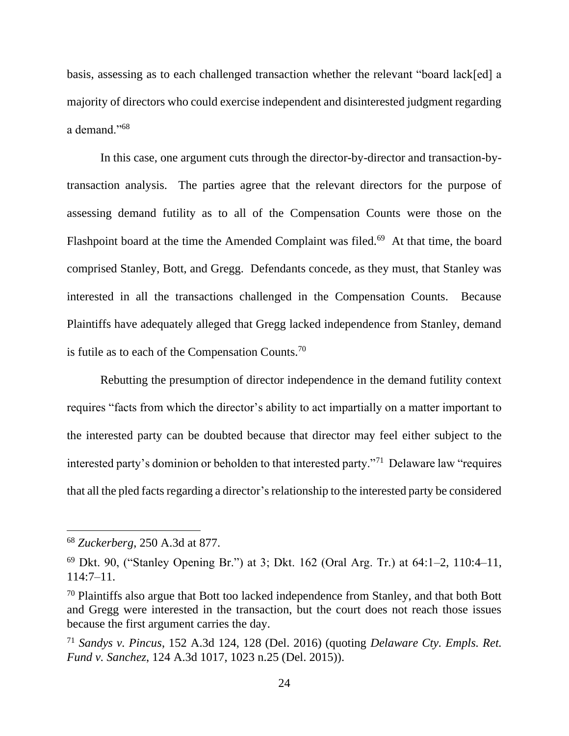basis, assessing as to each challenged transaction whether the relevant "board lack[ed] a majority of directors who could exercise independent and disinterested judgment regarding a demand."<sup>68</sup>

In this case, one argument cuts through the director-by-director and transaction-bytransaction analysis. The parties agree that the relevant directors for the purpose of assessing demand futility as to all of the Compensation Counts were those on the Flashpoint board at the time the Amended Complaint was filed.<sup>69</sup> At that time, the board comprised Stanley, Bott, and Gregg. Defendants concede, as they must, that Stanley was interested in all the transactions challenged in the Compensation Counts. Because Plaintiffs have adequately alleged that Gregg lacked independence from Stanley, demand is futile as to each of the Compensation Counts.<sup>70</sup>

Rebutting the presumption of director independence in the demand futility context requires "facts from which the director's ability to act impartially on a matter important to the interested party can be doubted because that director may feel either subject to the interested party's dominion or beholden to that interested party."<sup>71</sup> Delaware law "requires that all the pled facts regarding a director's relationship to the interested party be considered

<sup>68</sup> *Zuckerberg*, 250 A.3d at 877.

<sup>&</sup>lt;sup>69</sup> Dkt. 90, ("Stanley Opening Br.") at 3; Dkt. 162 (Oral Arg. Tr.) at  $64:1-2$ ,  $110:4-11$ , 114:7–11.

<sup>70</sup> Plaintiffs also argue that Bott too lacked independence from Stanley, and that both Bott and Gregg were interested in the transaction, but the court does not reach those issues because the first argument carries the day.

<sup>71</sup> *Sandys v. Pincus*, 152 A.3d 124, 128 (Del. 2016) (quoting *Delaware Cty. Empls. Ret. Fund v. Sanchez*, 124 A.3d 1017, 1023 n.25 (Del. 2015)).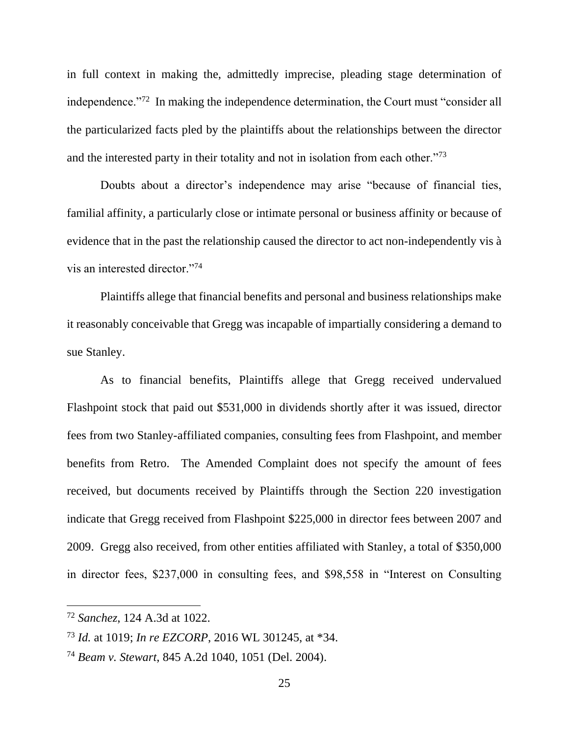in full context in making the, admittedly imprecise, pleading stage determination of independence."<sup>72</sup> In making the independence determination, the Court must "consider all the particularized facts pled by the plaintiffs about the relationships between the director and the interested party in their totality and not in isolation from each other."<sup>73</sup>

Doubts about a director's independence may arise "because of financial ties, familial affinity, a particularly close or intimate personal or business affinity or because of evidence that in the past the relationship caused the director to act non-independently vis à vis an interested director."<sup>74</sup>

Plaintiffs allege that financial benefits and personal and business relationships make it reasonably conceivable that Gregg was incapable of impartially considering a demand to sue Stanley.

As to financial benefits, Plaintiffs allege that Gregg received undervalued Flashpoint stock that paid out \$531,000 in dividends shortly after it was issued, director fees from two Stanley-affiliated companies, consulting fees from Flashpoint, and member benefits from Retro. The Amended Complaint does not specify the amount of fees received, but documents received by Plaintiffs through the Section 220 investigation indicate that Gregg received from Flashpoint \$225,000 in director fees between 2007 and 2009. Gregg also received, from other entities affiliated with Stanley, a total of \$350,000 in director fees, \$237,000 in consulting fees, and \$98,558 in "Interest on Consulting

<sup>72</sup> *Sanchez*, 124 A.3d at 1022.

<sup>73</sup> *Id.* at 1019; *In re EZCORP*, 2016 WL 301245, at \*34.

<sup>74</sup> *Beam v. Stewart*, 845 A.2d 1040, 1051 (Del. 2004).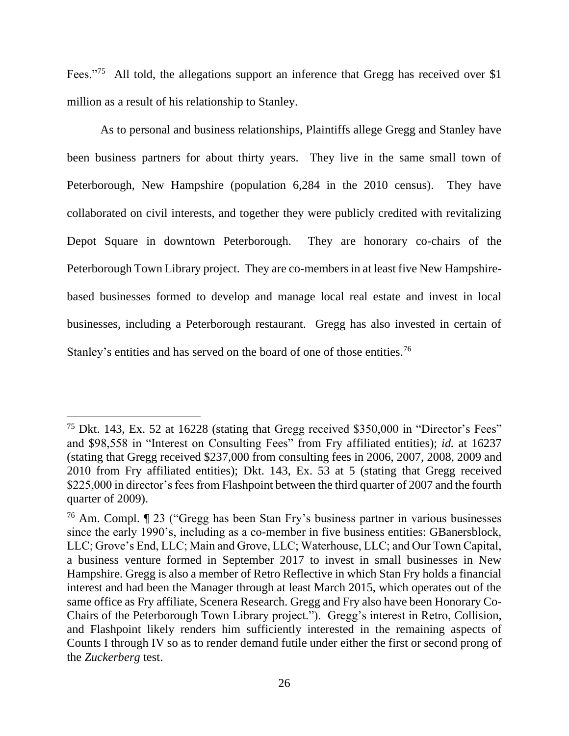Fees."<sup>75</sup> All told, the allegations support an inference that Gregg has received over \$1 million as a result of his relationship to Stanley.

As to personal and business relationships, Plaintiffs allege Gregg and Stanley have been business partners for about thirty years. They live in the same small town of Peterborough, New Hampshire (population 6,284 in the 2010 census). They have collaborated on civil interests, and together they were publicly credited with revitalizing Depot Square in downtown Peterborough. They are honorary co-chairs of the Peterborough Town Library project. They are co-members in at least five New Hampshirebased businesses formed to develop and manage local real estate and invest in local businesses, including a Peterborough restaurant. Gregg has also invested in certain of Stanley's entities and has served on the board of one of those entities.<sup>76</sup>

<sup>75</sup> Dkt. 143, Ex. 52 at 16228 (stating that Gregg received \$350,000 in "Director's Fees" and \$98,558 in "Interest on Consulting Fees" from Fry affiliated entities); *id.* at 16237 (stating that Gregg received \$237,000 from consulting fees in 2006, 2007, 2008, 2009 and 2010 from Fry affiliated entities); Dkt. 143, Ex. 53 at 5 (stating that Gregg received \$225,000 in director's fees from Flashpoint between the third quarter of 2007 and the fourth quarter of 2009).

<sup>76</sup> Am. Compl. ¶ 23 ("Gregg has been Stan Fry's business partner in various businesses since the early 1990's, including as a co-member in five business entities: GBanersblock, LLC; Grove's End, LLC; Main and Grove, LLC; Waterhouse, LLC; and Our Town Capital, a business venture formed in September 2017 to invest in small businesses in New Hampshire. Gregg is also a member of Retro Reflective in which Stan Fry holds a financial interest and had been the Manager through at least March 2015, which operates out of the same office as Fry affiliate, Scenera Research. Gregg and Fry also have been Honorary Co-Chairs of the Peterborough Town Library project."). Gregg's interest in Retro, Collision, and Flashpoint likely renders him sufficiently interested in the remaining aspects of Counts I through IV so as to render demand futile under either the first or second prong of the *Zuckerberg* test.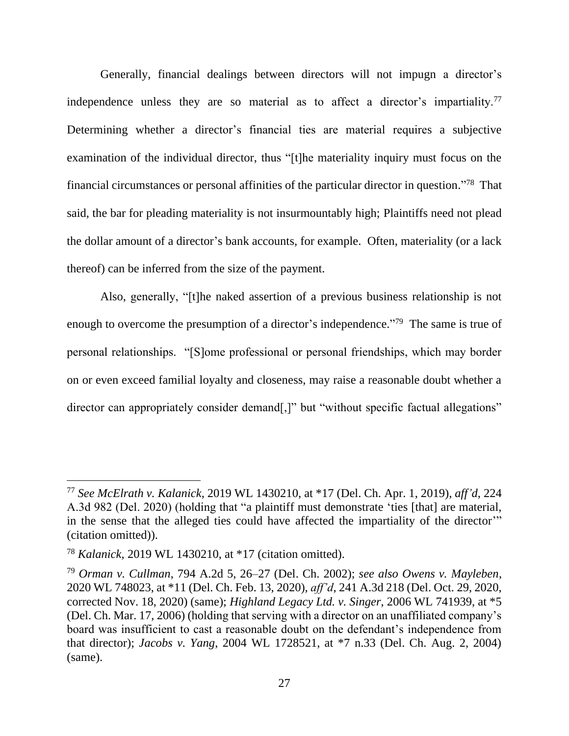Generally, financial dealings between directors will not impugn a director's independence unless they are so material as to affect a director's impartiality.<sup>77</sup> Determining whether a director's financial ties are material requires a subjective examination of the individual director, thus "[t]he materiality inquiry must focus on the financial circumstances or personal affinities of the particular director in question."<sup>78</sup> That said, the bar for pleading materiality is not insurmountably high; Plaintiffs need not plead the dollar amount of a director's bank accounts, for example. Often, materiality (or a lack thereof) can be inferred from the size of the payment.

Also, generally, "[t]he naked assertion of a previous business relationship is not enough to overcome the presumption of a director's independence."<sup>79</sup> The same is true of personal relationships. "[S]ome professional or personal friendships, which may border on or even exceed familial loyalty and closeness, may raise a reasonable doubt whether a director can appropriately consider demand[,]" but "without specific factual allegations"

<sup>77</sup> *See McElrath v. Kalanick*, 2019 WL 1430210, at \*17 (Del. Ch. Apr. 1, 2019), *aff'd*, 224 A.3d 982 (Del. 2020) (holding that "a plaintiff must demonstrate 'ties [that] are material, in the sense that the alleged ties could have affected the impartiality of the director'" (citation omitted)).

<sup>78</sup> *Kalanick*, 2019 WL 1430210, at \*17 (citation omitted).

<sup>79</sup> *Orman v. Cullman*, 794 A.2d 5, 26–27 (Del. Ch. 2002); *see also Owens v. Mayleben*, 2020 WL 748023, at \*11 (Del. Ch. Feb. 13, 2020), *aff'd*, 241 A.3d 218 (Del. Oct. 29, 2020, corrected Nov. 18, 2020) (same); *Highland Legacy Ltd. v. Singer*, 2006 WL 741939, at \*5 (Del. Ch. Mar. 17, 2006) (holding that serving with a director on an unaffiliated company's board was insufficient to cast a reasonable doubt on the defendant's independence from that director); *Jacobs v. Yang*, 2004 WL 1728521, at \*7 n.33 (Del. Ch. Aug. 2, 2004) (same).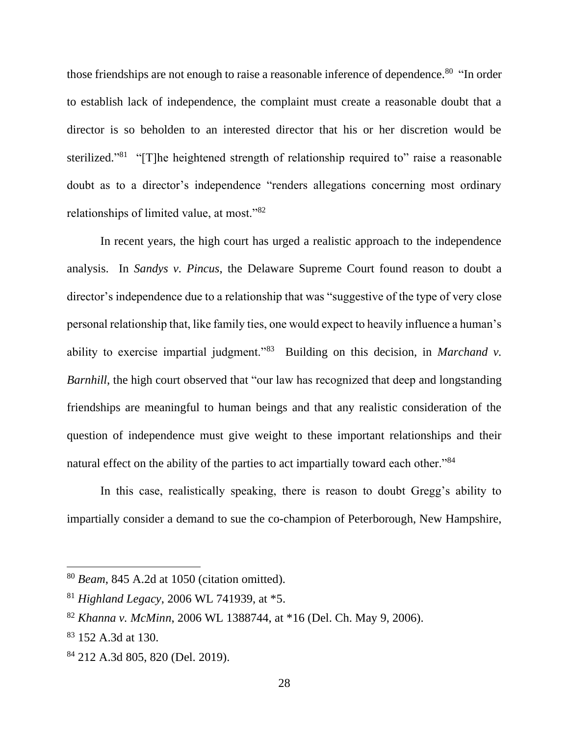those friendships are not enough to raise a reasonable inference of dependence.<sup>80</sup> "In order to establish lack of independence, the complaint must create a reasonable doubt that a director is so beholden to an interested director that his or her discretion would be sterilized."<sup>81</sup> "[T]he heightened strength of relationship required to" raise a reasonable doubt as to a director's independence "renders allegations concerning most ordinary relationships of limited value, at most."<sup>82</sup>

In recent years, the high court has urged a realistic approach to the independence analysis. In *Sandys v. Pincus*, the Delaware Supreme Court found reason to doubt a director's independence due to a relationship that was "suggestive of the type of very close personal relationship that, like family ties, one would expect to heavily influence a human's ability to exercise impartial judgment."<sup>83</sup> Building on this decision, in *Marchand v*. *Barnhill*, the high court observed that "our law has recognized that deep and longstanding friendships are meaningful to human beings and that any realistic consideration of the question of independence must give weight to these important relationships and their natural effect on the ability of the parties to act impartially toward each other."<sup>84</sup>

In this case, realistically speaking, there is reason to doubt Gregg's ability to impartially consider a demand to sue the co-champion of Peterborough, New Hampshire,

<sup>80</sup> *Beam*, 845 A.2d at 1050 (citation omitted).

<sup>81</sup> *Highland Legacy*, 2006 WL 741939, at \*5.

<sup>82</sup> *Khanna v. McMinn*, 2006 WL 1388744, at \*16 (Del. Ch. May 9, 2006).

<sup>&</sup>lt;sup>83</sup> 152 A.3d at 130.

<sup>84</sup> 212 A.3d 805, 820 (Del. 2019).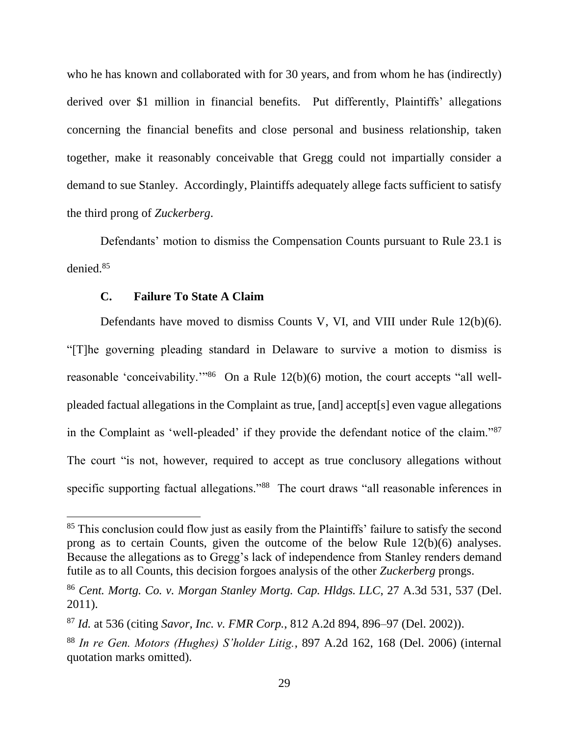who he has known and collaborated with for 30 years, and from whom he has (indirectly) derived over \$1 million in financial benefits. Put differently, Plaintiffs' allegations concerning the financial benefits and close personal and business relationship, taken together, make it reasonably conceivable that Gregg could not impartially consider a demand to sue Stanley. Accordingly, Plaintiffs adequately allege facts sufficient to satisfy the third prong of *Zuckerberg*.

Defendants' motion to dismiss the Compensation Counts pursuant to Rule 23.1 is denied.<sup>85</sup>

#### **C. Failure To State A Claim**

Defendants have moved to dismiss Counts V, VI, and VIII under Rule 12(b)(6). "[T]he governing pleading standard in Delaware to survive a motion to dismiss is reasonable 'conceivability."<sup>86</sup> On a Rule  $12(b)(6)$  motion, the court accepts "all wellpleaded factual allegations in the Complaint as true, [and] accept[s] even vague allegations in the Complaint as 'well-pleaded' if they provide the defendant notice of the claim."<sup>87</sup> The court "is not, however, required to accept as true conclusory allegations without specific supporting factual allegations."<sup>88</sup> The court draws "all reasonable inferences in

<sup>&</sup>lt;sup>85</sup> This conclusion could flow just as easily from the Plaintiffs' failure to satisfy the second prong as to certain Counts, given the outcome of the below Rule 12(b)(6) analyses. Because the allegations as to Gregg's lack of independence from Stanley renders demand futile as to all Counts, this decision forgoes analysis of the other *Zuckerberg* prongs.

<sup>86</sup> *Cent. Mortg. Co. v. Morgan Stanley Mortg. Cap. Hldgs. LLC*, 27 A.3d 531, 537 (Del. 2011).

<sup>87</sup> *Id.* at 536 (citing *Savor, Inc. v. FMR Corp.*, 812 A.2d 894, 896–97 (Del. 2002)).

<sup>88</sup> *In re Gen. Motors (Hughes) S'holder Litig.*, 897 A.2d 162, 168 (Del. 2006) (internal quotation marks omitted).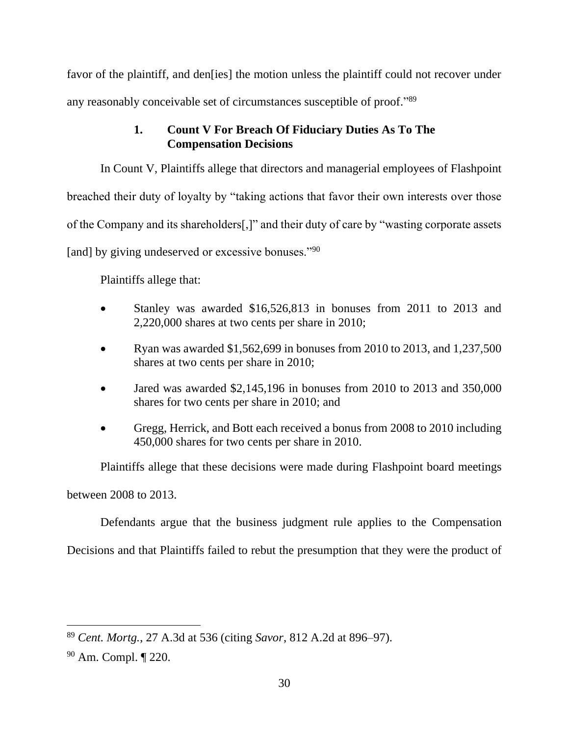favor of the plaintiff, and den<sup>[ies]</sup> the motion unless the plaintiff could not recover under any reasonably conceivable set of circumstances susceptible of proof."89

# **1. Count V For Breach Of Fiduciary Duties As To The Compensation Decisions**

In Count V, Plaintiffs allege that directors and managerial employees of Flashpoint breached their duty of loyalty by "taking actions that favor their own interests over those of the Company and its shareholders[,]" and their duty of care by "wasting corporate assets [and] by giving undeserved or excessive bonuses."<sup>90</sup>

Plaintiffs allege that:

- Stanley was awarded \$16,526,813 in bonuses from 2011 to 2013 and 2,220,000 shares at two cents per share in 2010;
- Ryan was awarded \$1,562,699 in bonuses from 2010 to 2013, and  $1,237,500$ shares at two cents per share in 2010;
- Jared was awarded \$2,145,196 in bonuses from 2010 to 2013 and 350,000 shares for two cents per share in 2010; and
- Gregg, Herrick, and Bott each received a bonus from 2008 to 2010 including 450,000 shares for two cents per share in 2010.

Plaintiffs allege that these decisions were made during Flashpoint board meetings between 2008 to 2013.

Defendants argue that the business judgment rule applies to the Compensation

Decisions and that Plaintiffs failed to rebut the presumption that they were the product of

<sup>89</sup> *Cent. Mortg.*, 27 A.3d at 536 (citing *Savor*, 812 A.2d at 896–97).

<sup>90</sup> Am. Compl. ¶ 220.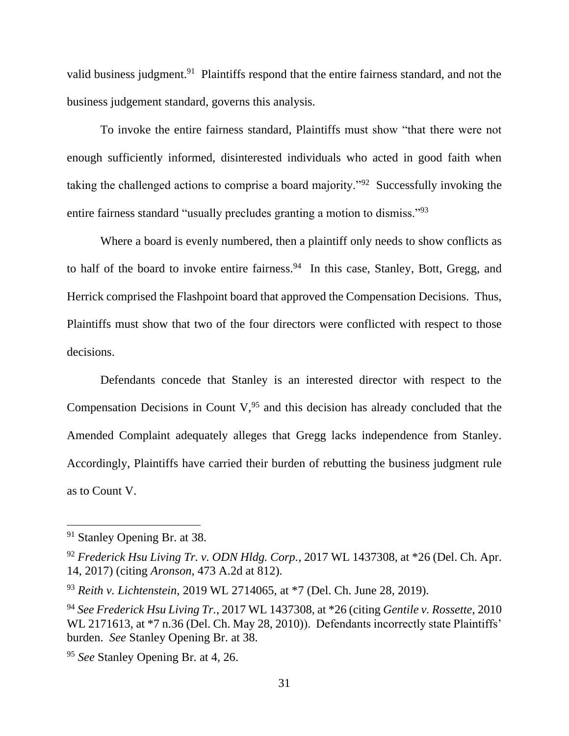valid business judgment.<sup>91</sup> Plaintiffs respond that the entire fairness standard, and not the business judgement standard, governs this analysis.

To invoke the entire fairness standard, Plaintiffs must show "that there were not enough sufficiently informed, disinterested individuals who acted in good faith when taking the challenged actions to comprise a board majority."<sup>92</sup> Successfully invoking the entire fairness standard "usually precludes granting a motion to dismiss."<sup>93</sup>

Where a board is evenly numbered, then a plaintiff only needs to show conflicts as to half of the board to invoke entire fairness.<sup>94</sup> In this case, Stanley, Bott, Gregg, and Herrick comprised the Flashpoint board that approved the Compensation Decisions. Thus, Plaintiffs must show that two of the four directors were conflicted with respect to those decisions.

Defendants concede that Stanley is an interested director with respect to the Compensation Decisions in Count  $V<sub>1</sub><sup>95</sup>$  and this decision has already concluded that the Amended Complaint adequately alleges that Gregg lacks independence from Stanley. Accordingly, Plaintiffs have carried their burden of rebutting the business judgment rule as to Count V.

<sup>91</sup> Stanley Opening Br. at 38.

<sup>92</sup> *Frederick Hsu Living Tr. v. ODN Hldg. Corp.*, 2017 WL 1437308, at \*26 (Del. Ch. Apr. 14, 2017) (citing *Aronson*, 473 A.2d at 812).

<sup>93</sup> *Reith v. Lichtenstein*, 2019 WL 2714065, at \*7 (Del. Ch. June 28, 2019).

<sup>94</sup> *See Frederick Hsu Living Tr.*, 2017 WL 1437308, at \*26 (citing *Gentile v. Rossette*, 2010 WL 2171613, at  $*7$  n.36 (Del. Ch. May 28, 2010)). Defendants incorrectly state Plaintiffs' burden. *See* Stanley Opening Br. at 38.

<sup>95</sup> *See* Stanley Opening Br. at 4, 26.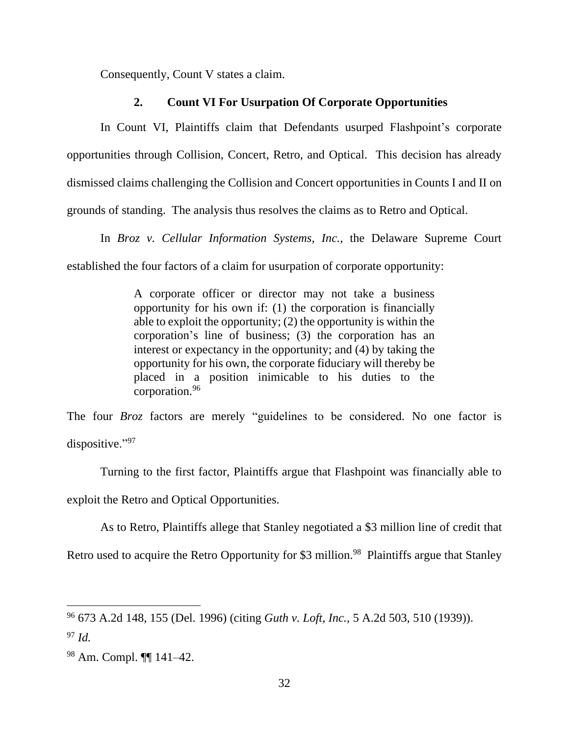Consequently, Count V states a claim.

## **2. Count VI For Usurpation Of Corporate Opportunities**

In Count VI, Plaintiffs claim that Defendants usurped Flashpoint's corporate opportunities through Collision, Concert, Retro, and Optical. This decision has already dismissed claims challenging the Collision and Concert opportunities in Counts I and II on grounds of standing. The analysis thus resolves the claims as to Retro and Optical.

In *Broz v. Cellular Information Systems, Inc.*, the Delaware Supreme Court

established the four factors of a claim for usurpation of corporate opportunity:

A corporate officer or director may not take a business opportunity for his own if: (1) the corporation is financially able to exploit the opportunity; (2) the opportunity is within the corporation's line of business; (3) the corporation has an interest or expectancy in the opportunity; and (4) by taking the opportunity for his own, the corporate fiduciary will thereby be placed in a position inimicable to his duties to the corporation.<sup>96</sup>

The four *Broz* factors are merely "guidelines to be considered. No one factor is dispositive."<sup>97</sup>

Turning to the first factor, Plaintiffs argue that Flashpoint was financially able to exploit the Retro and Optical Opportunities.

As to Retro, Plaintiffs allege that Stanley negotiated a \$3 million line of credit that Retro used to acquire the Retro Opportunity for \$3 million.<sup>98</sup> Plaintiffs argue that Stanley

<sup>96</sup> 673 A.2d 148, 155 (Del. 1996) (citing *Guth v. Loft, Inc.*, 5 A.2d 503, 510 (1939)).

<sup>97</sup> *Id.*

<sup>98</sup> Am. Compl. ¶¶ 141–42.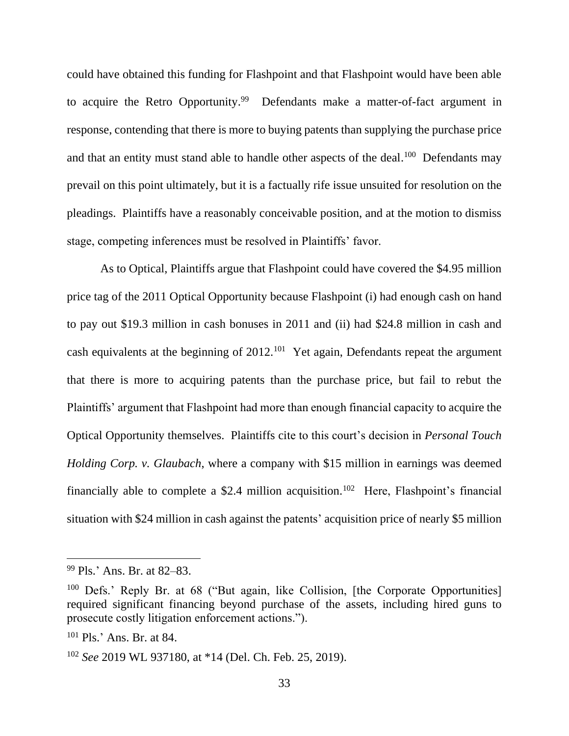could have obtained this funding for Flashpoint and that Flashpoint would have been able to acquire the Retro Opportunity.<sup>99</sup> Defendants make a matter-of-fact argument in response, contending that there is more to buying patents than supplying the purchase price and that an entity must stand able to handle other aspects of the deal.<sup>100</sup> Defendants may prevail on this point ultimately, but it is a factually rife issue unsuited for resolution on the pleadings. Plaintiffs have a reasonably conceivable position, and at the motion to dismiss stage, competing inferences must be resolved in Plaintiffs' favor.

As to Optical, Plaintiffs argue that Flashpoint could have covered the \$4.95 million price tag of the 2011 Optical Opportunity because Flashpoint (i) had enough cash on hand to pay out \$19.3 million in cash bonuses in 2011 and (ii) had \$24.8 million in cash and cash equivalents at the beginning of  $2012$ <sup>101</sup> Yet again, Defendants repeat the argument that there is more to acquiring patents than the purchase price, but fail to rebut the Plaintiffs' argument that Flashpoint had more than enough financial capacity to acquire the Optical Opportunity themselves. Plaintiffs cite to this court's decision in *Personal Touch Holding Corp. v. Glaubach*, where a company with \$15 million in earnings was deemed financially able to complete a \$2.4 million acquisition.<sup>102</sup> Here, Flashpoint's financial situation with \$24 million in cash against the patents' acquisition price of nearly \$5 million

<sup>99</sup> Pls.' Ans. Br. at 82–83.

<sup>&</sup>lt;sup>100</sup> Defs.' Reply Br. at 68 ("But again, like Collision, [the Corporate Opportunities] required significant financing beyond purchase of the assets, including hired guns to prosecute costly litigation enforcement actions.").

<sup>101</sup> Pls.' Ans. Br. at 84.

<sup>102</sup> *See* 2019 WL 937180, at \*14 (Del. Ch. Feb. 25, 2019).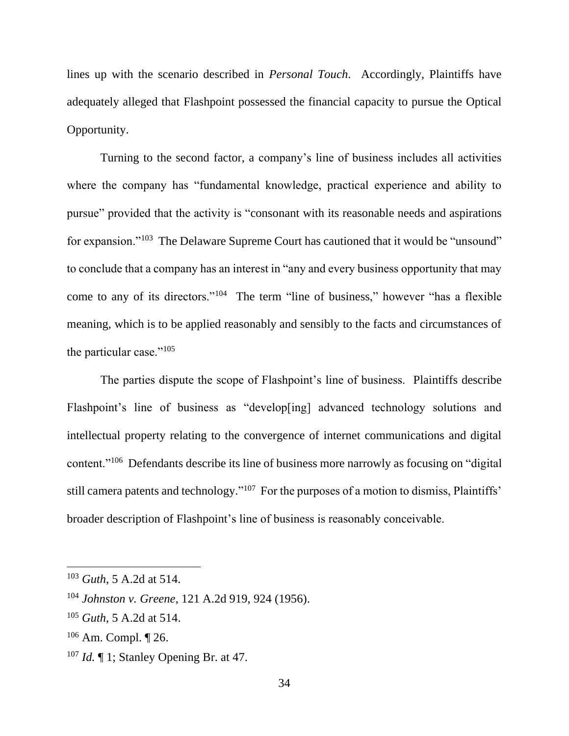lines up with the scenario described in *Personal Touch*. Accordingly, Plaintiffs have adequately alleged that Flashpoint possessed the financial capacity to pursue the Optical Opportunity.

Turning to the second factor, a company's line of business includes all activities where the company has "fundamental knowledge, practical experience and ability to pursue" provided that the activity is "consonant with its reasonable needs and aspirations for expansion."<sup>103</sup> The Delaware Supreme Court has cautioned that it would be "unsound" to conclude that a company has an interest in "any and every business opportunity that may come to any of its directors."<sup>104</sup> The term "line of business," however "has a flexible meaning, which is to be applied reasonably and sensibly to the facts and circumstances of the particular case." $105$ 

The parties dispute the scope of Flashpoint's line of business. Plaintiffs describe Flashpoint's line of business as "develop[ing] advanced technology solutions and intellectual property relating to the convergence of internet communications and digital content."<sup>106</sup> Defendants describe its line of business more narrowly as focusing on "digital" still camera patents and technology."<sup>107</sup> For the purposes of a motion to dismiss, Plaintiffs' broader description of Flashpoint's line of business is reasonably conceivable.

<sup>103</sup> *Guth*, 5 A.2d at 514.

<sup>104</sup> *Johnston v. Greene*, 121 A.2d 919, 924 (1956).

<sup>105</sup> *Guth*, 5 A.2d at 514.

<sup>106</sup> Am. Compl. ¶ 26.

<sup>107</sup> *Id.* ¶ 1; Stanley Opening Br. at 47.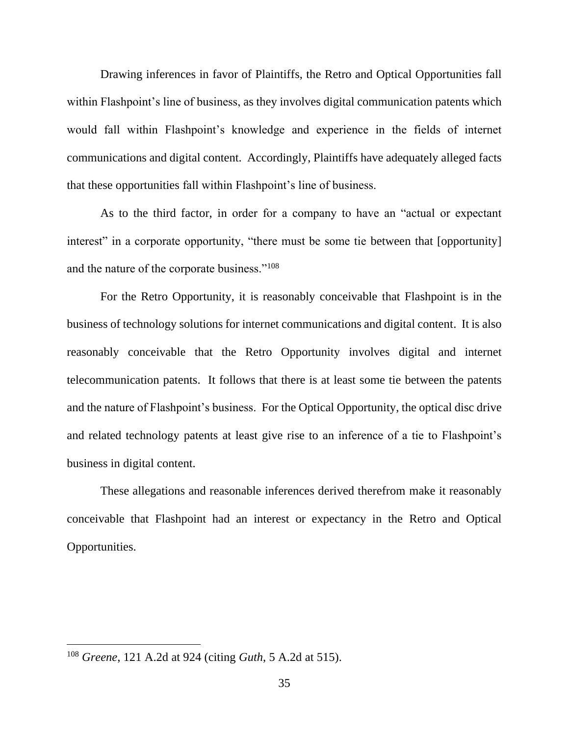Drawing inferences in favor of Plaintiffs, the Retro and Optical Opportunities fall within Flashpoint's line of business, as they involves digital communication patents which would fall within Flashpoint's knowledge and experience in the fields of internet communications and digital content. Accordingly, Plaintiffs have adequately alleged facts that these opportunities fall within Flashpoint's line of business.

As to the third factor, in order for a company to have an "actual or expectant interest" in a corporate opportunity, "there must be some tie between that [opportunity] and the nature of the corporate business."<sup>108</sup>

For the Retro Opportunity, it is reasonably conceivable that Flashpoint is in the business of technology solutions for internet communications and digital content. It is also reasonably conceivable that the Retro Opportunity involves digital and internet telecommunication patents. It follows that there is at least some tie between the patents and the nature of Flashpoint's business. For the Optical Opportunity, the optical disc drive and related technology patents at least give rise to an inference of a tie to Flashpoint's business in digital content.

These allegations and reasonable inferences derived therefrom make it reasonably conceivable that Flashpoint had an interest or expectancy in the Retro and Optical Opportunities.

<sup>108</sup> *Greene*, 121 A.2d at 924 (citing *Guth*, 5 A.2d at 515).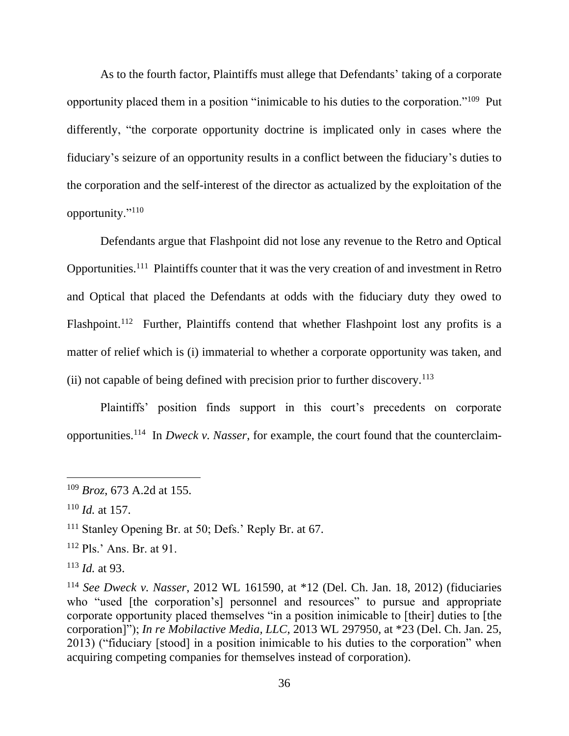As to the fourth factor, Plaintiffs must allege that Defendants' taking of a corporate opportunity placed them in a position "inimicable to his duties to the corporation."<sup>109</sup> Put differently, "the corporate opportunity doctrine is implicated only in cases where the fiduciary's seizure of an opportunity results in a conflict between the fiduciary's duties to the corporation and the self-interest of the director as actualized by the exploitation of the opportunity."<sup>110</sup>

Defendants argue that Flashpoint did not lose any revenue to the Retro and Optical Opportunities.<sup>111</sup> Plaintiffs counter that it was the very creation of and investment in Retro and Optical that placed the Defendants at odds with the fiduciary duty they owed to Flashpoint.<sup>112</sup> Further, Plaintiffs contend that whether Flashpoint lost any profits is a matter of relief which is (i) immaterial to whether a corporate opportunity was taken, and (ii) not capable of being defined with precision prior to further discovery.<sup>113</sup>

Plaintiffs' position finds support in this court's precedents on corporate opportunities.<sup>114</sup> In *Dweck v. Nasser*, for example, the court found that the counterclaim-

<sup>109</sup> *Broz*, 673 A.2d at 155.

<sup>110</sup> *Id.* at 157.

<sup>&</sup>lt;sup>111</sup> Stanley Opening Br. at 50; Defs.' Reply Br. at 67.

<sup>112</sup> Pls.' Ans. Br. at 91.

<sup>113</sup> *Id.* at 93.

<sup>114</sup> *See Dweck v. Nasser*, 2012 WL 161590, at \*12 (Del. Ch. Jan. 18, 2012) (fiduciaries who "used [the corporation's] personnel and resources" to pursue and appropriate corporate opportunity placed themselves "in a position inimicable to [their] duties to [the corporation]"); *In re Mobilactive Media, LLC*, 2013 WL 297950, at \*23 (Del. Ch. Jan. 25, 2013) ("fiduciary [stood] in a position inimicable to his duties to the corporation" when acquiring competing companies for themselves instead of corporation).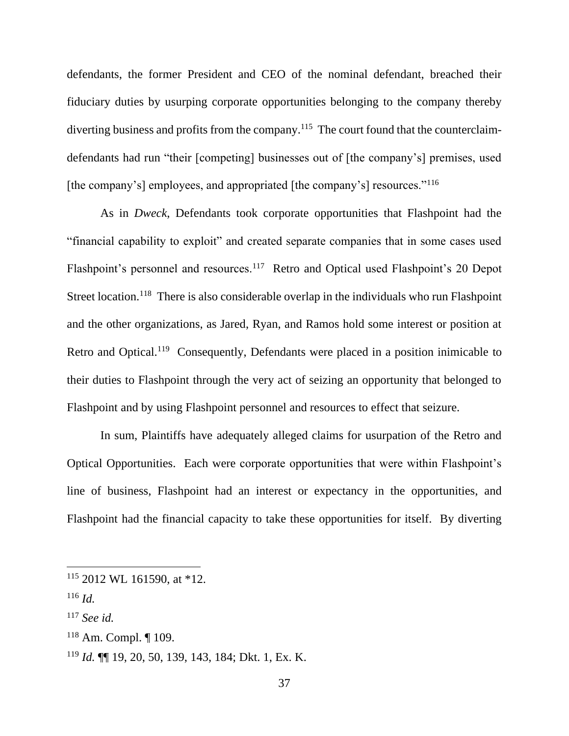defendants, the former President and CEO of the nominal defendant, breached their fiduciary duties by usurping corporate opportunities belonging to the company thereby diverting business and profits from the company.<sup>115</sup> The court found that the counterclaimdefendants had run "their [competing] businesses out of [the company's] premises, used [the company's] employees, and appropriated [the company's] resources."<sup>116</sup>

As in *Dweck*, Defendants took corporate opportunities that Flashpoint had the "financial capability to exploit" and created separate companies that in some cases used Flashpoint's personnel and resources.<sup>117</sup> Retro and Optical used Flashpoint's 20 Depot Street location.<sup>118</sup> There is also considerable overlap in the individuals who run Flashpoint and the other organizations, as Jared, Ryan, and Ramos hold some interest or position at Retro and Optical.<sup>119</sup> Consequently, Defendants were placed in a position inimicable to their duties to Flashpoint through the very act of seizing an opportunity that belonged to Flashpoint and by using Flashpoint personnel and resources to effect that seizure.

In sum, Plaintiffs have adequately alleged claims for usurpation of the Retro and Optical Opportunities. Each were corporate opportunities that were within Flashpoint's line of business, Flashpoint had an interest or expectancy in the opportunities, and Flashpoint had the financial capacity to take these opportunities for itself. By diverting

- <sup>117</sup> *See id.*
- $118$  Am. Compl.  $\P$  109.

 $115$  2012 WL 161590, at \*12.

<sup>116</sup> *Id.*

<sup>119</sup> *Id.* ¶¶ 19, 20, 50, 139, 143, 184; Dkt. 1, Ex. K.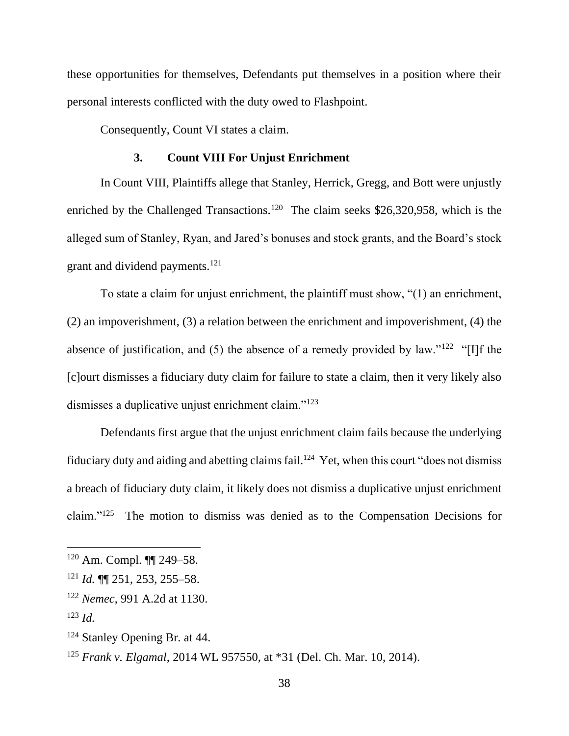these opportunities for themselves, Defendants put themselves in a position where their personal interests conflicted with the duty owed to Flashpoint.

Consequently, Count VI states a claim.

#### **3. Count VIII For Unjust Enrichment**

In Count VIII, Plaintiffs allege that Stanley, Herrick, Gregg, and Bott were unjustly enriched by the Challenged Transactions.<sup>120</sup> The claim seeks \$26,320,958, which is the alleged sum of Stanley, Ryan, and Jared's bonuses and stock grants, and the Board's stock grant and dividend payments.<sup>121</sup>

To state a claim for unjust enrichment, the plaintiff must show, "(1) an enrichment, (2) an impoverishment, (3) a relation between the enrichment and impoverishment, (4) the absence of justification, and  $(5)$  the absence of a remedy provided by law."<sup>122</sup> "[I]f the [c]ourt dismisses a fiduciary duty claim for failure to state a claim, then it very likely also dismisses a duplicative unjust enrichment claim."<sup>123</sup>

Defendants first argue that the unjust enrichment claim fails because the underlying fiduciary duty and aiding and abetting claims fail.<sup>124</sup> Yet, when this court "does not dismiss" a breach of fiduciary duty claim, it likely does not dismiss a duplicative unjust enrichment claim."<sup>125</sup> The motion to dismiss was denied as to the Compensation Decisions for

<sup>120</sup> Am. Compl. ¶¶ 249–58.

<sup>121</sup> *Id.* ¶¶ 251, 253, 255–58.

<sup>122</sup> *Nemec*, 991 A.2d at 1130.

<sup>123</sup> *Id.*

<sup>124</sup> Stanley Opening Br. at 44.

<sup>125</sup> *Frank v. Elgamal*, 2014 WL 957550, at \*31 (Del. Ch. Mar. 10, 2014).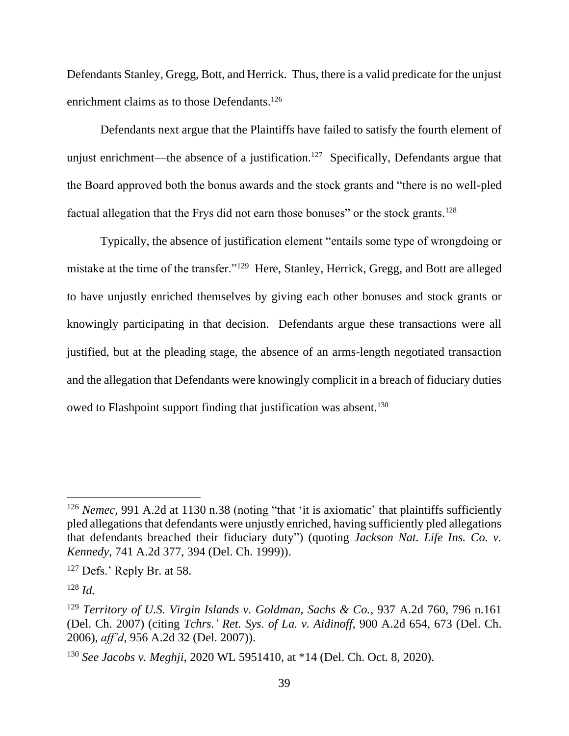Defendants Stanley, Gregg, Bott, and Herrick. Thus, there is a valid predicate for the unjust enrichment claims as to those Defendants. 126

Defendants next argue that the Plaintiffs have failed to satisfy the fourth element of unjust enrichment—the absence of a justification.<sup>127</sup> Specifically, Defendants argue that the Board approved both the bonus awards and the stock grants and "there is no well-pled factual allegation that the Frys did not earn those bonuses" or the stock grants.<sup>128</sup>

Typically, the absence of justification element "entails some type of wrongdoing or mistake at the time of the transfer."<sup>129</sup> Here, Stanley, Herrick, Gregg, and Bott are alleged to have unjustly enriched themselves by giving each other bonuses and stock grants or knowingly participating in that decision. Defendants argue these transactions were all justified, but at the pleading stage, the absence of an arms-length negotiated transaction and the allegation that Defendants were knowingly complicit in a breach of fiduciary duties owed to Flashpoint support finding that justification was absent.<sup>130</sup>

<sup>&</sup>lt;sup>126</sup> *Nemec*, 991 A.2d at 1130 n.38 (noting "that 'it is axiomatic' that plaintiffs sufficiently pled allegations that defendants were unjustly enriched, having sufficiently pled allegations that defendants breached their fiduciary duty") (quoting *Jackson Nat. Life Ins. Co. v. Kennedy*, 741 A.2d 377, 394 (Del. Ch. 1999)).

<sup>&</sup>lt;sup>127</sup> Defs.' Reply Br. at 58.

<sup>128</sup> *Id.*

<sup>129</sup> *Territory of U.S. Virgin Islands v. Goldman, Sachs & Co.*, 937 A.2d 760, 796 n.161 (Del. Ch. 2007) (citing *Tchrs.' Ret. Sys. of La. v. Aidinoff*, 900 A.2d 654, 673 (Del. Ch. 2006), *aff'd*, 956 A.2d 32 (Del. 2007)).

<sup>130</sup> *See Jacobs v. Meghji*, 2020 WL 5951410, at \*14 (Del. Ch. Oct. 8, 2020).